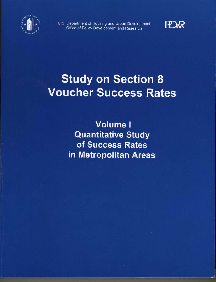

U.S. Department of Housing and Urban Development Office of Policy Development and Research



# **Study on Section 8 Voucher Success Rates**

**Volume I Quantitative Study** of Success Rates in Metropolitan Areas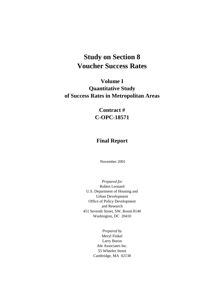## **Study on Section 8 Voucher Success Rates**

## **Volume I Quantitative Study of Success Rates in Metropolitan Areas**

## **Contract # C-OPC-18571**

### **Final Report**

November 2001

*Prepared for*  Robert Leonard U.S. Department of Housing and Urban Development Office of Policy Development and Research 451 Seventh Street, SW, Room 8140 Washington, DC 20410

> *Prepared by*  Meryl Finkel Larry Buron Abt Associates Inc. 55 Wheeler Street Cambridge, MA 02138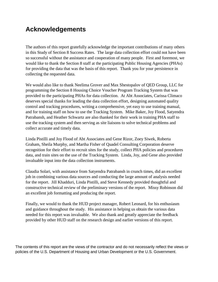## **Acknowledgements**

The authors of this report gratefully acknowledge the important contributions of many others in this Study of Section 8 Success Rates. The large data collection effort could not have been so successful without the assistance and cooperation of many people. First and foremost, we would like to thank the Section 8 staff at the participating Public Housing Agencies (PHAs) for providing the data that was the basis of this report. Thank you for your persistence in collecting the requested data.

We would also like to thank Neelima Grover and Max Shestopalov of QED Group, LLC for programming the Section 8 Housing Choice Voucher Program Tracking System that was provided to the participating PHAs for data collection. At Abt Associates, Carissa Climaco deserves special thanks for leading the data collection effort, designing automated quality control and tracking procedures, writing a comprehensive, yet easy to use training manual, and for training staff on how to use the Tracking System. Mike Baker, Joy Flood, Satyendra Patrabansh, and Heather Schwartz are also thanked for their work in training PHA staff to use the tracking system and then serving as site liaisons to solve technical problems and collect accurate and timely data.

Linda Pistilli and Joy Flood of Abt Associates and Gene Rizor, Zoey Siwek, Roberta Graham, Sheila Murphy, and Martha Fisher of Quadel Consulting Corporation deserve recognition for their effort to recruit sites for the study, collect PHA policies and procedures data, and train sites on the use of the Tracking System. Linda, Joy, and Gene also provided invaluable input into the data collection instruments.

Claudia Solari, with assistance from Satyendra Patrabansh in crunch times, did an excellent job in combining various data sources and conducting the large amount of analysis needed for the report. Jill Khadduri, Linda Pistilli, and Steve Kennedy provided thoughtful and constructive technical review of the preliminary versions of the report. Missy Robinson did an excellent job formatting and producing the report.

Finally, we would to thank the HUD project manager, Robert Leonard, for his enthusiasm and guidance throughout the study. His assistance in helping us obtain the various data needed for this report was invaluable. We also thank and greatly appreciate the feedback provided by other HUD staff on the research design and earlier versions of this report.

The contents of this report are the views of the contractor and do not necessarily reflect the views or policies of the U.S. Department of Housing and Urban Development or the U.S. Government.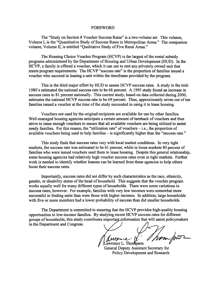#### **FOREWORD**

The "Study on Section 8 Voucher Success Rates" is a two-volume set. This volume, Volume I, is the "Quantitative Study of Success Rates in Metropolitan Areas." The companion volume, Volume II, is entitled "Qualitative Study of Five Rural Areas."

The Housing Choice Voucher Program (HCVP) is the largest of the rental subsidy programs administered by the Department of Housing and Urban Development (HUD). In the HCVP, a family is offered a voucher, which it can use to rent any privately owned unit that meets program requirements. The HCVP "success rate" is the proportion of families issued a voucher who succeed in leasing a unit within the timeframe provided by the program.

This is the third major effort by HUD to assess HCVP success rates. A study in the mid-1980's estimated the national success rate to be 68 percent. A 1993 study found an increase in success rates to 81 percent nationally. This current study, based on data collected during 2000, estimates the national HCVP success rate to be 69 percent. Thus, approximately seven out of ten families issued a voucher at the time of the study succeeded in using it to lease housing.

Vouchers not used by the original recipients are available for use by other families. Well-managed housing agencies anticipate a certain amount of turnback of vouchers and thus strive to issue enough vouchers to ensure that all available vouchers are being utilized to assist needy families. For this reason, the "utilization rate" of vouchers  $-$  i.e., the proportion of available vouchers being used to help families – is significantly higher than the "success rate."

This study finds that success rates vary with local market conditions. In very tight markets, the success rate was estimated to be 61 percent, while in loose markets 80 percent of families who were issued vouchers used them to lease housing. Despite this general relationship, some housing agencies had relatively high voucher success rates even in tight markets. Further work is needed to identify whether lessons can be learned from these agencies to help others boost their success rates.

Importantly, success rates did not differ by such characteristics as the race, ethnicity, gender, or disability status of the head of household. This suggests that the voucher program works equally well for many different types of households. There were some variations in success rates, however. For example, families with very low incomes were somewhat more successful in finding units than were those with higher incomes. In addition, large households with five or more members had a lower probability of success than did smaller households.

The Department is committed to ensuring that the HCVP provides high-quality housing opportunities to low-income families. By studying recent HCVP success rates for different groups of households, this study contributes important information that will assist policymakers in the Department and Congress.

hom for .. Thompson

General Deputy Assistant Secretary for Policy Development and Research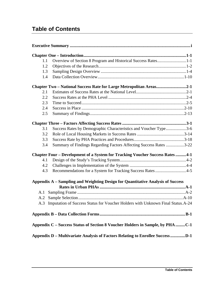## **Table of Contents**

| $1.1\,$ | Overview of Section 8 Program and Historical Success Rates1-1                        |  |
|---------|--------------------------------------------------------------------------------------|--|
| 1.2     |                                                                                      |  |
| 1.3     |                                                                                      |  |
| 1.4     |                                                                                      |  |
|         | Chapter Two - National Success Rate for Large Metropolitan Areas2-1                  |  |
| 2.1     |                                                                                      |  |
| 2.2     |                                                                                      |  |
| 2.3     |                                                                                      |  |
| 2.4     |                                                                                      |  |
| 2.5     |                                                                                      |  |
|         |                                                                                      |  |
| 3.1     | Success Rates by Demographic Characteristics and Voucher Type3-6                     |  |
| 3.2     |                                                                                      |  |
| 3.3     |                                                                                      |  |
| 3.4     | Summary of Findings Regarding Factors Affecting Success Rates 3-22                   |  |
|         | <b>Chapter Four – Development of a System for Tracking Voucher Success Rates 4-1</b> |  |
| 4.1     |                                                                                      |  |
| 4.2     |                                                                                      |  |
| 4.3     | Recommendations for a System for Tracking Success Rates4-5                           |  |
|         | Appendix A - Sampling and Weighting Design for Quantitative Analysis of Success      |  |
|         |                                                                                      |  |
|         |                                                                                      |  |
|         |                                                                                      |  |
|         | A.3 Imputation of Success Status for Voucher Holders with Unknown Final Status. A-24 |  |
|         |                                                                                      |  |
|         | Appendix C – Success Status of Section 8 Voucher Holders in Sample, by PHA C-1       |  |
|         | Appendix D – Multivariate Analysis of Factors Relating to Enrollee SuccessD-1        |  |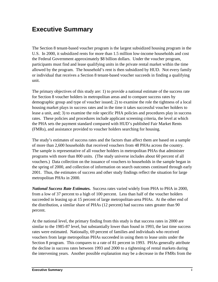## **Executive Summary**

The Section 8 tenant-based voucher program is the largest subsidized housing program in the U.S. In 2000, it subsidized rents for more than 1.5 million low-income households and cost the Federal Government approximately \$8 billion dollars. Under the voucher program, participants must find and lease qualifying units in the private rental market within the time allowed by the program. The household's rent is then subsidized by HUD. Not every family or individual that receives a Section 8 tenant-based voucher succeeds in finding a qualifying unit.

The primary objectives of this study are: 1) to provide a national estimate of the success rate for Section 8 voucher holders in metropolitan areas and to compare success rates by demographic group and type of voucher issued; 2) to examine the role the tightness of a local housing market plays in success rates and in the time it takes successful voucher holders to lease a unit, and; 3) to examine the role specific PHA policies and procedures play in success rates. These policies and procedures include applicant screening criteria, the level at which the PHA sets the payment standard compared with HUD's published Fair Market Rents (FMRs), and assistance provided to voucher holders searching for housing.

The study's estimates of success rates and the factors than affect them are based on a sample of more than 2,600 households that received vouchers from 48 PHAs across the country. The sample is representative of all voucher holders in metropolitan PHAs that administer programs with more than 800 units. (The study universe includes about 60 percent of all vouchers.) Data collection on the issuance of vouchers to households in the sample began in the spring of 2000, and collection of information on search outcomes continued through early 2001. Thus, the estimates of success and other study findings reflect the situation for large metropolitan PHAs in 2000.

*National Success Rate Estimates.* Success rates varied widely from PHA to PHA in 2000, from a low of 37 percent to a high of 100 percent. Less than half of the voucher holders succeeded in leasing up at 15 percent of large metropolitan-area PHAs. At the other end of the distribution, a similar share of PHAs (12 percent) had success rates greater than 90 percent.

 At the national level, the primary finding from this study is that success rates in 2000 are similar to the 1985-87 level, but substantially lower than found in 1993, the last time success rates were estimated. Nationally, 69 percent of families and individuals who received vouchers from large metropolitan PHAs succeeded in using them to lease units under the Section 8 program. This compares to a rate of 81 percent in 1993. PHAs generally attribute the decline in success rates between 1993 and 2000 to a tightening of rental markets during the intervening years. Another possible explanation may be a decrease in the FMRs from the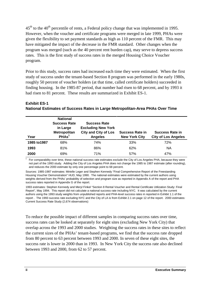$45<sup>th</sup>$  to the 40<sup>th</sup> percentile of rents, a Federal policy change that was implemented in 1995. However, when the voucher and certificate programs were merged in late 1999, PHAs were given the flexibility to set payment standards as high as 110 percent of the FMR. This may have mitigated the impact of the decrease in the FMR standard. Other changes when the program was merged (such as the 40 percent rent burden cap), may serve to depress success rates. This is the first study of success rates in the merged Housing Choice Voucher program.

 finding housing. In the 1985-87 period, that number had risen to 68 percent, and by 1993 it Prior to this study, success rates had increased each time they were estimated. When the first study of success under the tenant-based Section 8 program was performed in the early 1980s, roughly 50 percent of voucher holders (at that time, called certificate holders) succeeded in had risen to 81 percent. These results are summarized in Exhibit ES-1.

#### **Exhibit ES-1 National Estimates of Success Rates in Large Metropolitan-Area PHAs Over Time**

| Year         | <b>National</b><br><b>Success Rate</b><br>in Large<br>Metropolitan<br>PHAs <sup>1</sup> | <b>Success Rate</b><br><b>Excluding New York</b><br><b>City and City of Los</b><br><b>Angeles</b> | <b>Success Rate in</b><br><b>New York City</b> | <b>Success Rate in</b><br><b>City of Los Angeles</b> |
|--------------|-----------------------------------------------------------------------------------------|---------------------------------------------------------------------------------------------------|------------------------------------------------|------------------------------------------------------|
| 1985 to 1987 | 68%                                                                                     | 74%                                                                                               | 33%                                            | 72%                                                  |
| 1993         | 81%                                                                                     | 86%                                                                                               | 62%                                            | NA                                                   |
| 2000         | 69%                                                                                     | 71%                                                                                               | 57%                                            | 47%                                                  |

 not part of the 1993 study. Adding the City of Los Angeles PHA does not change the 1985 to 1987 estimate (after rounding), 1 For comparability over time, these national success rate estimates exclude the City of Los Angeles PHA, because they were and reduces the 2000 estimate by only one percentage point to 68 percent.

Sources: 1985-1987 estimates: Mirielle Leger and Stephen Kennedy "Final Comprehensive Report of the Freestanding Housing Voucher Demonstration" HUD, May 1990. The national estimates were estimated by the current authors using weights derived from the PHAs' probability of selection and program size as reported in Appendix A of the report and PHA success rates reported in Appendix G of the report.

 Report", May 1994. This report did not calculate a national success rate including NYC. It was calculated by the current 1993 estimates: Stephen Kennedy and Meryl Finkel "Section 8 Rental Voucher and Rental Certificate Utilization Study: Final authors using the 1993 study weights from unpublished reports and PHA-level success rates in reported in Exhibit 1.1 of the report . The 1993 success rate excluding NYC and the City of LA is from Exhibit 2.1 on page 12 of the report. 2000 estimates: Current Success Rate Study (2,674 observations)

To reduce the possible impact of different samples in comparing success rates over time, success rates can be looked at separately for eight sites (excluding New York City) that overlap across the 1993 and 2000 studies. Weighting the success rates in these sites to reflect the current sizes of the PHAs' tenant-based programs, we find that the success rate dropped from 80 percent to 63 percent between 1993 and 2000. In seven of these eight sites, the success rate is lower in 2000 than in 1993. In New York City the success rate also declined between 1993 and 2000, from 62 to 57 percent.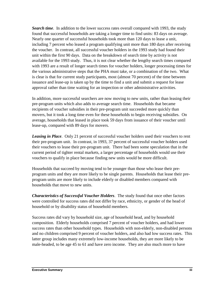available for the 1993 study. Thus, it is not clear whether the lengthy search times compared *Search time*. In addition to the lower success rates overall compared with 1993, the study found that successful households are taking a longer time to find units: 83 days on average. Nearly one quarter of successful households took more than 120 days to lease a unit, including 7 percent who leased a program qualifying unit more than 180 days after receiving the voucher. In contrast, all successful voucher holders in the 1993 study had found their unit within the first 90 days. Data on the breakdown of search time by activity is not with 1993 are a result of longer search times for voucher holders, longer processing times for the various administrative steps that the PHA must take, or a combination of the two. What is clear is that for current study participants, most (almost 70 percent) of the time between issuance and lease-up is taken up by the time to find a unit and submit a request for lease approval rather than time waiting for an inspection or other administrative activities.

In addition, more successful searchers are now moving to new units, rather than leasing their pre-program units which also adds to average search time. Households that became recipients of voucher subsidies in their pre-program unit succeeded more quickly than movers, but it took a long time even for these households to begin receiving subsidies. On average, households that leased in place took 59 days from issuance of their voucher until lease-up, compared with 89 days for movers.

**Leasing in Place.** Only 21 percent of successful voucher holders used their vouchers to rent their pre-program unit. In contrast, in 1993, 37 percent of successful voucher holders used their vouchers to lease their pre-program unit. There had been some speculation that in the current period of tighter rental markets, a larger percentage of households would use their vouchers to qualify in place because finding new units would be more difficult.

Households that succeed by moving tend to be younger than those who lease their preprogram units and they are more likely to be single parents. Households that lease their preprogram units are more likely to include elderly or disabled members compared with households that move to new units.

*Characteristics of Successful Voucher Holders*. The study found that once other factors were controlled for success rates did not differ by race, ethnicity, or gender of the head of household or by disability status of household members.

Success rates did vary by household size, age of household head, and by household composition. Elderly households comprised 7 percent of voucher holders, and had lower success rates than other household types. Households with non-elderly, non-disabled persons and no children comprised 9 percent of voucher holders, and also had low success rates. This latter group includes many extremely low-income households, they are more likely to be male-headed, to be age 45 to 61 and have zero income. They are also much more to have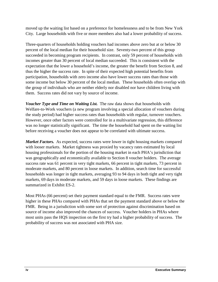moved up the waiting list based on a preference for homelessness and to be from New York City. Large households with five or more members also had a lower probability of success.

Three-quarters of households holding vouchers had incomes above zero but at or below 30 percent of the local median for their household size. Seventy-two percent of this group succeeded in becoming program recipients. In contrast, only 59 percent of households with incomes greater than 30 percent of local median succeeded. This is consistent with the expectation that the lower a household's income, the greater the benefit from Section 8, and thus the higher the success rate. In spite of their expected high potential benefits from participation, households with zero income also have lower success rates than those with some income but below 30 percent of the local median. These households often overlap with the group of individuals who are neither elderly nor disabled nor have children living with them. Success rates did not vary by source of income.

*Voucher Type and Time on Waiting List.* The raw data shows that households with Welfare-to-Work vouchers (a new program involving a special allocation of vouchers during the study period) had higher success rates than households with regular, turnover vouchers. However, once other factors were controlled for in a multivariate regression, this difference was no longer statistically significant. The time the household had spent on the waiting list before receiving a voucher does not appear to be correlated with ultimate success.

*Market Factors.* As expected, success rates were lower in tight housing markets compared with looser markets. Market tightness was proxied by vacancy rates estimated by local housing professionals for the portion of the housing market in each PHA's jurisdiction that was geographically and economically available to Section 8 voucher holders. The average success rate was 61 percent in very tight markets, 66 percent in tight markets, 73 percent in moderate markets, and 80 percent in loose markets. In addition, search time for successful households was longer in tight markets, averaging 93 to 94 days in both tight and very tight markets, 69 days in moderate markets, and 59 days in loose markets. These findings are summarized in Exhibit ES-2.

Most PHAs (66 percent) set their payment standard equal to the FMR. Success rates were higher in these PHAs compared with PHAs that set the payment standard above or below the FMR. Being in a jurisdiction with some sort of protection against discrimination based on source of income also improved the chances of success. Voucher holders in PHAs where most units pass the HQS inspection on the first try had a higher probability of success. The probability of success was not associated with PHA size.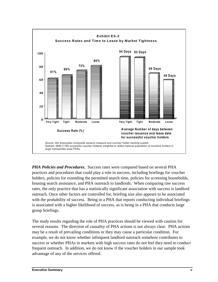

*PHA Policies and Procedures.* Success rates were compared based on several PHA practices and procedures that could play a role in success, including briefings for voucher holders, policies for extending the permitted search time, policies for screening households, housing search assistance, and PHA outreach to landlords. When comparing raw success rates, the only practice that has a statistically significant association with success is landlord outreach. Once other factors are controlled for, briefing size also appears to be associated with the probability of success. Being in a PHA that reports conducting individual briefings is associated with a higher likelihood of success, as is being in a PHA that conducts large group briefings.

The study results regarding the role of PHA practices should be viewed with caution for several reasons. The direction of causality of PHA actions is not always clear. PHA actions may be a result of prevailing conditions or they may cause a particular condition. For example, we do not know whether infrequent landlord outreach somehow contributes to success or whether PHAs in markets with high success rates do not feel they need to conduct frequent outreach. In addition, we do not know if the voucher holders in our sample took advantage of any of the services offered.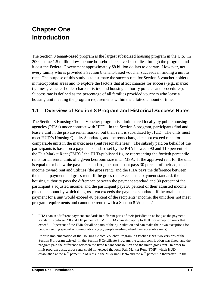## **Chapter One Introduction**

The Section 8 tenant-based program is the largest subsidized housing program in the U.S. In 2000, some 1.5 million low-income households received subsidies through the program and it cost the Federal Government approximately \$8 billion dollars to operate. However, not every family who is provided a Section 8 tenant-based voucher succeeds in finding a unit to rent. The purpose of this study is to estimate the success rate for Section 8 voucher holders in metropolitan areas and to explore the factors that affect chances for success (e.g., market tightness, voucher holder characteristics, and housing authority policies and procedures). Success rate is defined as the percentage of all families provided vouchers who lease a housing unit meeting the program requirements within the allotted amount of time.

## **1.1 Overview of Section 8 Program and Historical Success Rates**

The Section 8 Housing Choice Voucher program is administered locally by public housing agencies (PHAs) under contract with HUD. In the Section 8 program, participants find and lease a unit in the private rental market, but their rent is subsidized by HUD. The units must meet HUD's Housing Quality Standards, and the rents charged cannot exceed rents for comparable units in the market area (rent reasonableness). The subsidy paid on behalf of the participants is based on a payment standard set by the PHA between 90 and 110 percent of the Fair Market Rent  $(FMR)$ , the HUD-published figure representing the fortieth percentile rents for all rental units of a given bedroom size in an MSA. If the approved rent for the unit is equal to or below the payment standard, the participant pays 30 percent of their adjusted income toward rent and utilities (the gross rent), and the PHA pays the difference between the tenant payment and gross rent. If the gross rent exceeds the payment standard, the housing authority pays the difference between the payment standard and 30 percent of the participant's adjusted income, and the participant pays 30 percent of their adjusted income plus the amount by which the gross rent exceeds the payment standard. If the total tenant payment for a unit would exceed 40 percent of the recipients' income, the unit does not meet program requirements and cannot be rented with a Section 8 Voucher.<sup>2</sup>

 $\overline{a}$ <sup>1</sup> PHAs can set different payment standards in different parts of their jurisdiction as long as the payment standard is between 90 and 110 percent of FMR. PHAs can also apply to HUD for exception rents that exceed 110 percent of the FMR for all or parts of their jurisdiction and can make their own exceptions for people needing special accommodations (e.g., people needing wheelchair accessible units).

 Section 8 program existed. In the Section 8 Certificate Program, the tenant contribution was fixed, and the <sup>2</sup> Prior to implementation of the Housing Choice Voucher Program in October 1999, two versions of the program paid the difference between the fixed tenant contribution and the unit's gross rent. In order to limit program costs, gross rents could not exceed the local Fair Market Rent (FMR) which HUD established at the  $45<sup>th</sup>$  percentile of rents in the MSA until 1994 and the  $40<sup>th</sup>$  percentile thereafter. In the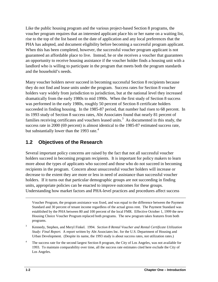Like the public housing program and the various project-based Section 8 programs, the voucher program requires that an interested applicant place his or her name on a waiting list, rise to the top of the list based on the date of application and any local preferences that the PHA has adopted, and document eligibility before becoming a successful program applicant. When this has been completed, however, the successful voucher program applicant is not guaranteed an affordable place to live. Instead, he or she receives a voucher that guarantees an opportunity to receive housing assistance if the voucher holder finds a housing unit with a landlord who is willing to participate in the program that meets both the program standards and the household's needs.

 succeeded in finding housing. In the 1985-87 period, that number had risen to 68 percent. In Many voucher holders never succeed in becoming successful Section 8 recipients because they do not find and lease units under the program. Success rates for Section 8 voucher holders vary widely from jurisdiction to jurisdiction, but at the national level they increased dramatically from the early 1980s to mid 1990s. When the first study of Section 8 success was performed in the early 1980s, roughly 50 percent of Section 8 certificate holders its 1993 study of Section 8 success rates, Abt Associates found that nearly 81 percent of families receiving certificates and vouchers leased units.<sup>3</sup> As documented in this study, the success rate in 2000 (69 percent) is almost identical to the 1985-87 estimated success rate, but substantially lower than the 1993 rate.<sup>4</sup>

## **1.2 Objectives of the Research**

Several important policy concerns are raised by the fact that not all successful voucher holders succeed in becoming program recipients. It is important for policy makers to learn more about the types of applicants who succeed and those who do not succeed in becoming recipients in the program. Concern about unsuccessful voucher holders will increase or decrease to the extent they are more or less in need of assistance than successful voucher holders. If it turns out that particular demographic groups are not succeeding in finding units, appropriate policies can be enacted to improve outcomes for these groups. Understanding how market factors and PHA-level practices and procedures affect success

Voucher Program, the program assistance was fixed, and was equal to the difference between the Payment Standard and 30 percent of tenant income regardless of the actual gross rent. The Payment Standard was established by the PHA between 80 and 100 percent of the local FMR. Effective October 1, 1999 the new Housing Choice Voucher Program replaced both programs. The new program takes features from both programs.

 *Study: Final Report.* A report written by Abt Associates Inc. for the U.S. Department of Housing and 3 Kennedy, Stephen, and Meryl Finkel. 1994. *Section 8 Rental Voucher and Rental Certificate Utilization*  Urban Development. (Despite its name, the 1993 study is about success rates, not utilization rates.)

 1993. To maintain comparability over time, all the success rate estimates cited here exclude the City of <sup>4</sup> The success rate for the second largest Section 8 program, the City of Los Angeles, was not available for Los Angeles.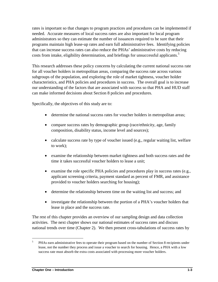rates is important so that changes to program practices and procedures can be implemented if needed. Accurate measures of local success rates are also important for local program administrators so they can estimate the number of issuances required to be sure that their programs maintain high lease-up rates and earn full administrative fees. Identifying policies that can increase success rates can also reduce the PHAs' administrative costs by reducing costs from intake, eligibility determination, and briefings for unsuccessful applicants.<sup>5</sup>

This research addresses these policy concerns by calculating the current national success rate for all voucher holders in metropolitan areas, comparing the success rate across various subgroups of the population, and exploring the role of market tightness, voucher holder characteristics, and PHA policies and procedures in success. The overall goal is to increase our understanding of the factors that are associated with success so that PHA and HUD staff can make informed decisions about Section 8 policies and procedures.

Specifically, the objectives of this study are to:

- determine the national success rates for voucher holders in metropolitan areas;
- compare success rates by demographic group (race/ethnicity, age, family composition, disability status, income level and sources);
- calculate success rate by type of voucher issued (e.g., regular waiting list, welfare to work);
- examine the relationship between market tightness and both success rates and the time it takes successful voucher holders to lease a unit;
- examine the role specific PHA policies and procedures play in success rates (e.g., applicant screening criteria, payment standard as percent of FMR, and assistance provided to voucher holders searching for housing);
- determine the relationship between time on the waiting list and success; and
- investigate the relationship between the portion of a PHA's voucher holders that lease in place and the success rate.

The rest of this chapter provides an overview of our sampling design and data collection activities. The next chapter shows our national estimates of success rates and discuss national trends over time (Chapter 2). We then present cross-tabulations of success rates by

PHAs earn administrative fees to operate their program based on the number of Section 8 recipients under lease, not the number they process and issue a voucher to search for housing. Hence, a PHA with a low success rate must absorb the extra costs associated with processing more voucher holders. 5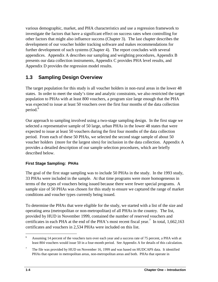various demographic, market, and PHA characteristics and use a regression framework to investigate the factors that have a significant effect on success rates when controlling for other factors that might also influence success (Chapter 3). The last chapter describes the development of our voucher holder tracking software and makes recommendations for further development of such systems (Chapter 4). The report concludes with several appendices. Appendix A describes our sampling and weighting procedures, Appendix B presents our data collection instruments, Appendix C provides PHA level results, and Appendix D provides the regression model results.

## **1.3 Sampling Design Overview**

The target population for this study is all voucher holders in non-rural areas in the lower 48 states. In order to meet the study's time and analytic constraints, we also restricted the target population to PHAs with at least 800 vouchers, a program size large enough that the PHA was expected to issue at least 50 vouchers over the first four months of the data collection period.<sup>6</sup>

Our approach to sampling involved using a two-stage sampling design. In the first stage we selected a representative sample of 50 large, urban PHAs in the lower 48 states that were expected to issue at least 50 vouchers during the first four months of the data collection period. From each of these 50 PHAs, we selected the second stage sample of about 50 voucher holders (more for the largest sites) for inclusion in the data collection. Appendix A provides a detailed description of our sample selection procedures, which are briefly described below.

#### **First Stage Sampling: PHAs**

 The goal of the first stage sampling was to include 50 PHAs in the study. In the 1993 study, 33 PHAs were included in the sample. At that time programs were more homogeneous in terms of the types of vouchers being issued because there were fewer special programs. A sample size of 50 PHAs was chosen for this study to ensure we captured the range of market conditions and voucher types currently being issued.

 To determine the PHAs that were eligible for the study, we started with a list of the size and operating area (metropolitan or non-metropolitan) of all PHAs in the country. The list, provided by HUD in November 1999, contained the number of reserved vouchers and certificates in each PHA at the end of the PHA's most recent fiscal year.<sup>7</sup> In total,  $1,662,163$ certificates and vouchers in 2,534 PHAs were included on this list.

 least 804 vouchers would issue 50 in a four-month period. See Appendix A for details of this calculation. <sup>6</sup> Assuming 14 percent of the vouchers turn over each year and a success rate of 75 percent, a PHA with at

 $7$  The file was provided by HUD on November 16, 1999 and was based on HUDCAPS data. It identified PHAs that operate in metropolitan areas, non-metropolitan areas and both. PHAs that operate in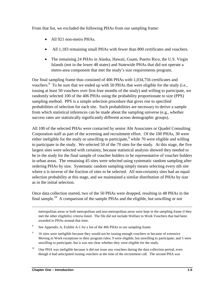From that list, we excluded the following PHAs from our sampling frame:

- All 921 non-metro PHAs.
- All 1,183 remaining small PHAs with fewer than 800 certificates and vouchers.
- The remaining 24 PHAs in Alaska, Hawaii, Guam, Puerto Rico, the U.S. Virgin Islands (not in the lower 48 states) and Statewide PHAs that did not operate a metro-area component that met the study's size requirements program.

Our final sampling frame thus consisted of 406 PHAs with 1,034,756 certificates and vouchers.<sup>8</sup> To be sure that we ended up with 50 PHAs that were eligible for the study (i.e., issuing at least 50 vouchers over first four months of the study) and willing to participate, we randomly selected 100 of the 406 PHAs using the probability proportionate to size (PPS) sampling method. PPS is a simple selection procedure that gives rise to specified probabilities of selection for each site. Such probabilities are necessary to derive a sample from which statistical inferences can be made about the sampling universe (e.g., whether success rates are statistically significantly different across demographic groups).

 selection probability at this stage, and we maintained a similar distribution of PHAs by size All 100 of the selected PHAs were contacted by senior Abt Associates or Quadel Consulting Corporation staff as part of the screening and recruitment effort. Of the 100 PHAs, 30 were either ineligible for the study or unwilling to participate,  $9$  while 70 were eligible and willing to participate in the study. We selected 50 of the 70 sites for the study. At this stage, the five largest sites were selected with certainty, because statistical analysis showed they needed to be in the study for the final sample of voucher holders to be representative of voucher holders in urban areas. The remaining 45 sites were selected using systematic random sampling after ordering PHAs by size. Systematic random sampling simply means selecting every nth site where n is inverse of the fraction of sites to be selected. All non-certainty sites had an equal as in the initial selection.

Once data collection started, two of the 50 PHAs were dropped, resulting in 48 PHAs in the final sample.<sup>10</sup> A comparison of the sample PHAs and the eligible, but unwilling or not

metropolitan areas or both metropolitan and non-metropolitan areas were kept in the sampling frame if they met the other eligibility criteria listed. The file did not include Welfare to Work Vouchers that had been awarded to PHAs around that time.

- <sup>8</sup> See Appendix A, Exhibit A-1 for a list of the 406 PHAs in our sampling frame.
- $\overline{9}$ 16 sites were ineligible because they would not be issuing enough vouchers or because of extensive Moving to Work exceptions to their program rules; 9 were eligible, but unwilling to participate; and 5 were unwilling to participate, but it was not clear whether they were eligible for the study.
- $10<sup>10</sup>$ One PHA was ineligible because it did not issue any vouchers during the data collection period, even though it had anticipated issuing vouchers at the time of the recruitment call. The second PHA was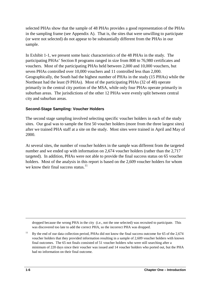selected PHAs show that the sample of 48 PHAs provides a good representation of the PHAs in the sampling frame (see Appendix A). That is, the sites that were unwilling to participate (or were not selected) do not appear to be substantially different from the PHAs in our sample.

In Exhibit 1-1, we present some basic characteristics of the 48 PHAs in the study. The participating PHAs' Section 8 programs ranged in size from 808 to 76,980 certificates and vouchers. Most of the participating PHAs held between 2,000 and 10,000 vouchers, but seven PHAs controlled over 10,000 vouchers and 11 controlled less than 2,000. Geographically, the South had the highest number of PHAs in the study (15 PHAs) while the Northeast had the least (9 PHAs). Most of the participating PHAs (32 of 48) operate primarily in the central city portion of the MSA, while only four PHAs operate primarily in suburban areas. The jurisdictions of the other 12 PHAs were evenly split between central city and suburban areas.

#### **Second-Stage Sampling: Voucher Holders**

The second stage sampling involved selecting specific voucher holders in each of the study sites. Our goal was to sample the first 50 voucher holders (more from the three largest sites) after we trained PHA staff at a site on the study. Most sites were trained in April and May of 2000.

At several sites, the number of voucher holders in the sample was different from the targeted number and we ended up with information on 2,674 voucher holders (rather than the 2,717 targeted). In addition, PHAs were not able to provide the final success status on 65 voucher holders. Most of the analysis in this report is based on the 2,609 voucher holders for whom we know their final success status. $11$ 

dropped because the wrong PHA in the city (i.e., not the one selected) was recruited to participate. This was discovered too late to add the correct PHA, so the incorrect PHA was dropped.

 final outcomes. The 65 not finals consisted of 51 voucher holders who were still searching after a <sup>11</sup> By the end of our data collection period, PHAs did not know the final success outcome for 65 of the 2,674 voucher holders that they provided information resulting in a sample of 2,609 voucher holders with known minimum of 220 days since their voucher was issued and 14 voucher holders who ported out, but the PHA had no information on their final outcome.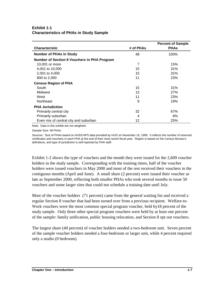#### **Exhibit 1-1 Characteristics of PHAs in Study Sample**

|                                                    |           | <b>Percent of Sample</b> |
|----------------------------------------------------|-----------|--------------------------|
| <b>Characteristic</b>                              | # of PHAs | <b>PHAS</b>              |
| <b>Number of PHAs in Study</b>                     | 48        | 100%                     |
| <b>Number of Section 8 Vouchers in PHA Program</b> |           |                          |
| 10,001 or more                                     | 7         | 15%                      |
| 4,001 to 10,000                                    | 15        | 31%                      |
| 2,001 to 4,000                                     | 15        | 31%                      |
| 800 to 2,000                                       | 11        | 23%                      |
| <b>Census Region of PHA</b>                        |           |                          |
| South                                              | 15        | 31%                      |
| Midwest                                            | 13        | 27%                      |
| West                                               | 11        | 23%                      |
| Northeast                                          | 9         | 19%                      |
| <b>PHA Jurisdiction</b>                            |           |                          |
| Primarily central city                             | 32        | 67%                      |
| Primarily suburban                                 | 4         | 8%                       |
| Even mix of central city and suburban              | 12        | 25%                      |

Note: Data in this exhibit are not weighted.

Sample Size: 48 PHAs.

 Sources: Size of PHAs based on HUDCAPS data provided by HUD on November 16, 1999. It reflects the number of reserved certificates and vouchers in each PHA at the end of their most recent fiscal year. Region is based on the Census Bureau's definitions, and type of jurisdiction is self-reported by PHA staff.

Exhibit 1-2 shows the type of vouchers and the month they were issued for the 2,609 voucher holders in the study sample. Corresponding with the training times, half of the voucher holders were issued vouchers in May 2000 and most of the rest received their vouchers in the contiguous months (April and June). A small share (2 percent) were issued their voucher as late as September 2000, reflecting both smaller PHAs who took several months to issue 50 vouchers and some larger sites that could not schedule a training date until July.

Most of the voucher holders (71 percent) came from the general waiting list and received a regular Section 8 voucher that had been turned over from a previous recipient. Welfare-to-Work vouchers were the most common special program voucher, held by18 percent of the study sample. Only three other special program vouchers were held by at least one percent of the sample: family unification, public housing relocation, and Section 8 opt out vouchers.

The largest share (40 percent) of voucher holders needed a two-bedroom unit. Seven percent of the sample voucher holders needed a four-bedroom or larger unit, while 4 percent required only a studio (0 bedroom).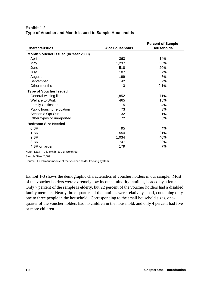#### **Exhibit 1-2 Type of Voucher and Month Issued to Sample Households**

|                                     |                 | <b>Percent of Sample</b> |
|-------------------------------------|-----------------|--------------------------|
| <b>Characteristics</b>              | # of Households | <b>Households</b>        |
| Month Voucher Issued (in Year 2000) |                 |                          |
| April                               | 363             | 14%                      |
| May                                 | 1,297           | 50%                      |
| June                                | 518             | 20%                      |
| July                                | 187             | 7%                       |
| August                              | 199             | 8%                       |
| September                           | 42              | 2%                       |
| Other months                        | 3               | 0.1%                     |
| <b>Type of Voucher Issued</b>       |                 |                          |
| General waiting list                | 1,852           | 71%                      |
| <b>Welfare to Work</b>              | 465             | 18%                      |
| <b>Family Unification</b>           | 115             | 4%                       |
| Public housing relocation           | 73              | 3%                       |
| Section 8 Opt Out                   | 32              | 1%                       |
| Other types or unreported           | 72              | 3%                       |
| <b>Bedroom Size Needed</b>          |                 |                          |
| 0 BR                                | 95              | 4%                       |
| 1 BR                                | 554             | 21%                      |
| 2 BR                                | 1,034           | 40%                      |
| 3 BR                                | 747             | 29%                      |
| 4 BR or larger                      | 179             | 7%                       |

Note: Data in this exhibit are unweighted.

Sample Size: 2,609

Source: Enrollment module of the voucher holder tracking system.

Exhibit 1-3 shows the demographic characteristics of voucher holders in our sample. Most of the voucher holders were extremely low income, minority families, headed by a female. Only 7 percent of the sample is elderly, but 22 percent of the voucher holders had a disabled family member. Nearly three-quarters of the families were relatively small, containing only one to three people in the household. Corresponding to the small household sizes, onequarter of the voucher holders had no children in the household, and only 4 percent had five or more children.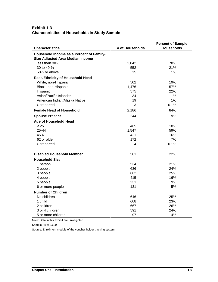#### **Exhibit 1-3 Characteristics of Households in Study Sample**

| <b>Characteristics</b>                                                       | # of Households | <b>Percent of Sample</b><br><b>Households</b> |
|------------------------------------------------------------------------------|-----------------|-----------------------------------------------|
|                                                                              |                 |                                               |
| Household Income as a Percent of Family-<br>Size Adjusted Area Median Income |                 |                                               |
| less than 30%                                                                | 2,042           | 78%                                           |
| 30 to 49 %                                                                   | 552             | 21%                                           |
| 50% or above                                                                 | 15              | 1%                                            |
| Race/Ethnicity of Household Head                                             |                 |                                               |
| White, non-Hispanic                                                          | 502             | 19%                                           |
| Black, non-Hispanic                                                          | 1,476           | 57%                                           |
| Hispanic                                                                     | 575             | 22%                                           |
| Asian/Pacific Islander                                                       | 34              | 1%                                            |
| American Indian/Alaska Native                                                | 19              | 1%                                            |
| Unreported                                                                   | 3               | 0.1%                                          |
| <b>Female Head of Household</b>                                              | 2,186           | 84%                                           |
| <b>Spouse Present</b>                                                        | 244             | 9%                                            |
| <b>Age of Household Head</b>                                                 |                 |                                               |
| < 25                                                                         | 465             | 18%                                           |
| 25-44                                                                        | 1,547           | 59%                                           |
| 45-61                                                                        | 421             | 16%                                           |
| 62 or older                                                                  | 172             | 7%                                            |
| Unreported                                                                   | 4               | 0.1%                                          |
| Disabled Household Member                                                    | 581             | 22%                                           |
| <b>Household Size</b>                                                        |                 |                                               |
| 1 person                                                                     | 534             | 21%                                           |
| 2 people                                                                     | 636             | 24%                                           |
| 3 people                                                                     | 662             | 25%                                           |
| 4 people                                                                     | 415             | 16%                                           |
| 5 people                                                                     | 231             | 9%                                            |
| 6 or more people                                                             | 131             | 5%                                            |
| <b>Number of Children</b>                                                    |                 |                                               |
| No children                                                                  | 646             | 25%                                           |
| 1 child                                                                      | 608             | 23%                                           |
| 2 children                                                                   | 667             | 26%                                           |
| 3 or 4 children                                                              | 591             | 24%                                           |
| 5 or more children                                                           | 97              | 4%                                            |

Note: Data in this exhibit are unweighted.

Sample Size: 2,609

Source: Enrollment module of the voucher holder tracking system.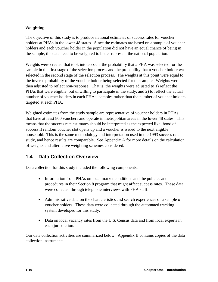#### **Weighting**

The objective of this study is to produce national estimates of success rates for voucher holders at PHAs in the lower 48 states. Since the estimates are based on a sample of voucher holders and each voucher holder in the population did not have an equal chance of being in the sample, the data need to be weighted to better represent the national population.

Weights were created that took into account the probability that a PHA was selected for the sample in the first stage of the selection process and the probability that a voucher holder was selected in the second stage of the selection process. The weights at this point were equal to the inverse probability of the voucher holder being selected for the sample. Weights were then adjusted to reflect non-response. That is, the weights were adjusted to 1) reflect the PHAs that were eligible, but unwilling to participate in the study, and 2) to reflect the actual number of voucher holders in each PHAs' samples rather than the number of voucher holders targeted at each PHA.

Weighted estimates from the study sample are representative of voucher holders in PHAs that have at least 800 vouchers and operate in metropolitan areas in the lower 48 states. This means that the success rate estimates should be interpreted as the expected likelihood of success if random voucher slot opens up and a voucher is issued to the next eligible household. This is the same methodology and interpretation used in the 1993 success rate study, and hence results are comparable. See Appendix A for more details on the calculation of weights and alternative weighting schemes considered.

## **1.4 Data Collection Overview**

Data collection for this study included the following components.

- Information from PHAs on local market conditions and the policies and procedures in their Section 8 program that might affect success rates. These data were collected through telephone interviews with PHA staff.
- Administrative data on the characteristics and search experiences of a sample of voucher holders. These data were collected through the automated tracking system developed for this study.
- Data on local vacancy rates from the U.S. Census data and from local experts in each jurisdiction.

Our data collection activities are summarized below. Appendix B contains copies of the data collection instruments.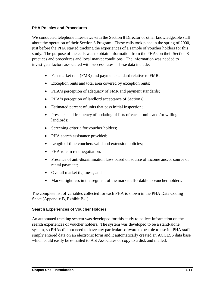#### **PHA Policies and Procedures**

We conducted telephone interviews with the Section 8 Director or other knowledgeable staff about the operation of their Section 8 Program. These calls took place in the spring of 2000, just before the PHA started tracking the experiences of a sample of voucher holders for this study. The purpose of the calls was to obtain information from the PHAs on their Section 8 practices and procedures and local market conditions. The information was needed to investigate factors associated with success rates. These data include:

- Fair market rent (FMR) and payment standard relative to FMR;
- Exception rents and total area covered by exception rents;
- PHA's perception of adequacy of FMR and payment standards;
- PHA's perception of landlord acceptance of Section 8;
- Estimated percent of units that pass initial inspection;
- Presence and frequency of updating of lists of vacant units and /or willing landlords;
- Screening criteria for voucher holders;
- PHA search assistance provided;
- Length of time vouchers valid and extension policies;
- PHA role in rent negotiation;
- Presence of anti-discrimination laws based on source of income and/or source of rental payment;
- Overall market tightness; and
- Market tightness in the segment of the market affordable to voucher holders.

The complete list of variables collected for each PHA is shown in the PHA Data Coding Sheet (Appendix B, Exhibit B-1).

#### **Search Experiences of Voucher Holders**

 simply entered data on an electronic form and it automatically created an ACCESS data base An automated tracking system was developed for this study to collect information on the search experiences of voucher holders. The system was developed to be a stand-alone system, so PHAs did not need to have any particular software to be able to use it. PHA staff which could easily be e-mailed to Abt Associates or copy to a disk and mailed.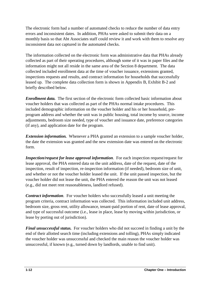The electronic form had a number of automated checks to reduce the number of data entry errors and inconsistent dates. In addition, PHAs were asked to submit their data on a monthly basis so that Abt Associates staff could review it and work with them to resolve any inconsistent data not captured in the automated checks.

The information collected on the electronic form was administrative data that PHAs already collected as part of their operating procedures, although some of it was in paper files and the information might not all reside in the same area of the Section 8 department. The data collected included enrollment data at the time of voucher issuance, extensions granted, inspections requests and results, and contract information for households that successfully leased up. The complete data collection form is shown in Appendix B, Exhibit B-2 and briefly described below.

*Enrollment data.* The first section of the electronic form collected basic information about voucher holders that was collected as part of the PHAs normal intake procedures. This included demographic information on the voucher holder and his or her household, preprogram address and whether the unit was in public housing, total income by source, income adjustments, bedroom size needed, type of voucher and issuance date, preference categories (if any), and application date for the program.

*Extension information.* Whenever a PHA granted an extension to a sample voucher holder, the date the extension was granted and the new extension date was entered on the electronic form.

*Inspection/request for lease approval information*. For each inspection request/request for lease approval, the PHA entered data on the unit address, date of the request, date of the inspection, result of inspection, re-inspection information (if needed), bedroom size of unit, and whether or not the voucher holder leased the unit. If the unit passed inspection, but the voucher holder did not lease the unit, the PHA entered the reason the unit was not leased (e.g., did not meet rent reasonableness, landlord refused).

*Contract information.* For voucher holders who successfully leased a unit meeting the program criteria, contract information was collected. This information included unit address, bedroom size, gross rent, utility allowance, tenant-paid portion of rent, date of lease approval, and type of successful outcome (i.e., lease in place, lease by moving within jurisdiction, or lease by porting out of jurisdiction).

*Final unsuccessful status.* For voucher holders who did not succeed in finding a unit by the end of their allotted search time (including extensions and tolling), PHAs simply indicated the voucher holder was unsuccessful and checked the main reason the voucher holder was unsuccessful, if known (e.g., turned down by landlords, unable to find unit).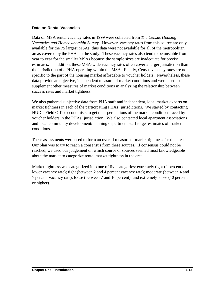#### **Data on Rental Vacancies**

Data on MSA rental vacancy rates in 1999 were collected from *The Census Housing Vacancies and Homeownership Survey.* However, vacancy rates from this source are only available for the 75 largest MSAs, thus data were not available for all of the metropolitan areas covered by the PHAs in the study. These vacancy rates also tend to be unstable from year to year for the smaller MSAs because the sample sizes are inadequate for precise estimates. In addition, these MSA-wide vacancy rates often cover a larger jurisdiction than the jurisdiction of a PHA operating within the MSA. Finally, Census vacancy rates are not specific to the part of the housing market affordable to voucher holders. Nevertheless, these data provide an objective, independent measure of market conditions and were used to supplement other measures of market conditions in analyzing the relationship between success rates and market tightness.

We also gathered subjective data from PHA staff and independent, local market experts on market tightness in each of the participating PHAs' jurisdictions. We started by contacting HUD's Field Office economists to get their perceptions of the market conditions faced by voucher holders in the PHAs' jurisdiction. We also contacted local apartment associations and local community development/planning department staff to get estimates of market conditions.

These assessments were used to form an overall measure of market tightness for the area. Our plan was to try to reach a consensus from these sources. If consensus could not be reached, we used our judgement on which source or sources seemed most knowledgeable about the market to categorize rental market tightness in the area.

Market tightness was categorized into one of five categories: extremely tight (2 percent or lower vacancy rate); tight (between 2 and 4 percent vacancy rate); moderate (between 4 and 7 percent vacancy rate); loose (between 7 and 10 percent); and extremely loose (10 percent or higher).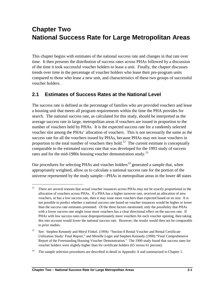## **Chapter Two National Success Rate for Large Metropolitan Areas**

This chapter begins with estimates of the national success rate and changes in that rate over time. It then presents the distribution of success rates across PHAs followed by a discussion of the time it took successful voucher holders to lease a unit. Finally, the chapter discusses trends over time in the percentage of voucher holders who lease their pre-program units compared to those who lease a new unit, and characteristics of these two groups of successful voucher holders.

## **2.1 Estimates of Success Rates at the National Level**

The success rate is defined as the percentage of families who are provided vouchers and lease a housing unit that meets all program requirements within the time the PHA provides for search. The national success rate, as calculated for this study, should be interpreted as the average success rate in large, metropolitan areas if vouchers are issued in proportion to the number of vouchers held by PHAs. It is the expected success rate for a randomly selected voucher slot among the PHAs' allocation of vouchers. This is not necessarily the same as the success rate for all the vouchers issued by PHAs, because PHAs may not issue vouchers in proportion to the total number of vouchers they hold.<sup>12</sup> The current estimate is conceptually comparable to the estimated success rate that was developed for the 1993 study of success rates and for the mid-1980s housing voucher demonstration study.<sup>13</sup>

Our procedures for selecting PHAs and voucher holders<sup>14</sup> generated a sample that, when appropriately weighted, allow us to calculate a national success rate for the portion of the universe represented by the study sample—PHAs in metropolitan areas in the lower 48 states

 $12$  There are several reasons that actual voucher issuances across PHAs may not be exactly proportional to the allocation of vouchers across PHAs. If a PHA has a higher turnover rate, received an allocation of new vouchers, or has a low success rate, then it may issue more vouchers than expected based on its size. It is not possible to predict whether a national success rate based on voucher issuances would be higher or lower than the success rate estimates presented. Of the three factors mentioned, only the possibility that PHAs with a lower success rate might issue more vouchers has a clear directional effect on the success rate. If PHAs with low success rates issue disproportionately more vouchers for each voucher opening, then taking this into account would lower the national success rate. However, the results would then not be comparable to prior studies.

 Report of the Freestanding Housing Voucher Demonstration." The 1990 study found that success rates for <sup>13</sup> See: Stephen Kennedy and Meryl Finkel. (1994) "Section 8 Rental Voucher and Rental Certificate Utilization Study: Final Report," and Mirielle Leger and Stephen Kennedy (1990) "Final Comprehensive voucher holders were slightly higher than for certificate holders (65 versus 61 percent).

<sup>&</sup>lt;sup>14</sup> The sample selection procedures are described in detail in Appendix A and summarized in Chapter 1.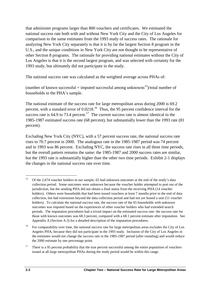that administer programs larger than 800 vouchers and certificates. We estimated the national success rate both with and without New York City and the City of Los Angeles for comparison to the same estimates from the 1993 study of success rates. The rationale for analyzing New York City separately is that it is by far the largest Section 8 program in the U.S., and the unique conditions in New York City are not thought to be representative of other Section 8 programs. The rationale for providing national estimates without the City of Los Angeles is that it is the second largest program, and was selected with certainty for the 1993 study, but ultimately did not participate in the study.

The national success rate was calculated as the weighted average across PHAs of:

(number of known successful + imputed successful among unknowns<sup>15</sup>)/total number of households in the PHA's sample.

The national estimate of the success rate for large metropolitan areas during 2000 is 69.2 percent, with a standard error of  $0.0218$ .<sup>16</sup> Thus, the 95 percent confidence interval for the success rate is  $64.9$  to  $73.4$  percent.<sup>17</sup> The current success rate is almost identical to the 1985-1987 estimated success rate (68 percent), but substantially lower than the 1993 rate (81 percent).

Excluding New York City (NYC), with a 57 percent success rate, the national success rate rises to 70.7 percent in 2000. The analogous rate in the 1985-1987 period was 74 percent and in 1993 was 86 percent. Excluding NYC, the success rate rises in all three time periods, but the overall pattern remains the same: the 1985-1987 and 2000 success rates are similar, but the 1993 rate is substantially higher than the other two time periods. Exhibit 2-1 displays the changes in the national success rate over time.

 Appendix A (Section A.3) for a detailed description of the imputation procedures. <sup>15</sup> Of the 2,674 voucher holders in our sample, 65 had unknown outcomes at the end of the study's data collection period. Some outcomes were unknown because the voucher holder attempted to port out of the jurisdiction, but the sending PHA did not obtain a final status from the receiving PHA (14 voucher holders). Others were households that had been issued vouchers at least 7 months prior to the end of data collection, but had extensions beyond the data collection period and had not yet leased a unit (51 voucher holders). To calculate the national success rate, the success rate of the 65 households with unknown outcomes was imputed based on the experiences of other voucher holders who had extended search periods. The imputation procedures had a trivial impact on the estimated success rate: the success rate for those with known outcomes was 68.3 percent, compared with a 68.1 percent estimate after imputation. See

 Angeles PHA, because they did not participate in the 1993 study. Inclusion of the City of Los Angeles in <sup>16</sup> For comparability over time, the national success rate for large metropolitan areas excludes the City of Los the estimates would not change the success rate in the 1985-1987 period (after rounding) and would reduce the 2000 estimate by one percentage point.

 issued at all large metropolitan PHAs during the study period would be within this range. <sup>17</sup> There is a 95 percent probability that the true percent successful among the entire population of vouchers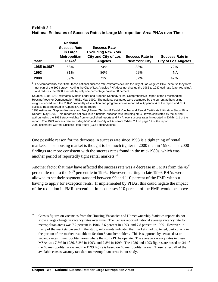| Year         | <b>National</b><br><b>Success Rate</b><br>in Large<br><b>Metropolitan</b><br>PHAs <sup>1</sup> | <b>Success Rate</b><br><b>Excluding New York</b><br><b>City and City of Los</b><br><b>Angeles</b> | <b>Success Rate in</b><br><b>New York City</b> | <b>Success Rate in</b><br><b>City of Los Angeles</b> |
|--------------|------------------------------------------------------------------------------------------------|---------------------------------------------------------------------------------------------------|------------------------------------------------|------------------------------------------------------|
| 1985 to 1987 | 68%                                                                                            | 74%                                                                                               | 33%                                            | 72%                                                  |
| 1993         | 81%                                                                                            | 86%                                                                                               | 62%                                            | <b>NA</b>                                            |
| 2000         | 69%                                                                                            | 71%                                                                                               | 57%                                            | 47%                                                  |

#### **Exhibit 2-1 National Estimates of Success Rates in Large Metropolitan-Area PHAs over Time**

 not part of the 1993 study. Adding the City of Los Angeles PHA does not change the 1985 to 1987 estimate (after rounding), For comparability over time, these national success rate estimates exclude the City of Los Angeles PHA, because they were and reduces the 2000 estimate by only one percentage point to 68 percent.

Sources: 1985-1987 estimates: Mirielle Leger and Stephen Kennedy "Final Comprehensive Report of the Freestanding Housing Voucher Demonstration" HUD, May 1990. The national estimates were estimated by the current authors using weights derived from the PHAs' probability of selection and program size as reported in Appendix A of the report and PHA success rates reported in Appendix G of the report.

 Report", May 1994. This report did not calculate a national success rate including NYC. It was calculated by the current report. The 1993 success rate excluding NYC and the City of LA is from Exhibit 2.1 on page 12 of the report. 1993 estimates: Stephen Kennedy and Meryl Finkel "Section 8 Rental Voucher and Rental Certificate Utilization Study: Final authors using the 1993 study weights from unpublished reports and PHA-level success rates in reported in Exhibit 1.1 of the 2000 estimates: Current Success Rate Study (2,674 observations)

One possible reason for the decrease in success rate since 1993 is a tightening of rental markets. The housing market is thought to be much tighter in 2000 than in 1993. The 2000 findings are more consistent with the success rates found in the mid-1980s, which was another period of reportedly tight rental markets.<sup>18</sup>

Another factor that may have affected the success rate was a decrease in FMRs from the  $45<sup>th</sup>$ percentile rent to the 40<sup>th</sup> percentile in 1995. However, starting in late 1999, PHAs were allowed to set their payment standard between 90 and 110 percent of the FMR without having to apply for exception rents. If implemented by PHAs, this could negate the impact of the reduction in FMR percentile. In most cases 110 percent of the FMR would be above

<sup>&</sup>lt;sup>18</sup> Census figures on vacancies from the Housing Vacancies and Homeownership Statistics reports do not show a large change in vacancy rates over time. The Census reported national average vacancy rate for metropolitan areas was 7.2 percent in 1986, 7.6 percent in 1993, and 7.8 percent in 1999. However, in many of the markets covered in the study, informants indicated that markets had tightened, particularly in the portion of the market available to Section 8 voucher holders. This is supported by census data on vacancy rates in metropolitan areas where the study PHAs operate. The average vacancy rates in these MSAs was 7.3% in 1986, 8.3% in 1993, and 7.8% in 1999. The 1986 and 1993 figures are based on 34 of the 48 metropolitan areas and the 1999 figure is based on 40 metropolitan areas. These reflect all of the available census vacancy rate data on metropolitan areas in our study.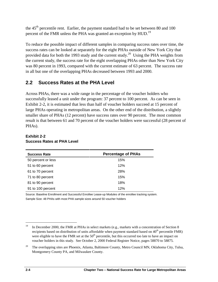the 45<sup>th</sup> percentile rent. Earlier, the payment standard had to be set between 80 and 100 percent of the FMR unless the PHA was granted an exception by HUD.<sup>19</sup>

To reduce the possible impact of different samples in comparing success rates over time, the success rates can be looked at separately for the eight PHAs outside of New York City that provided data for both the 1993 study and the current study.<sup>20</sup> Using the PHA weights from the current study, the success rate for the eight overlapping PHAs other than New York City was 80 percent in 1993, compared with the current estimate of 63 percent. The success rate in all but one of the overlapping PHAs decreased between 1993 and 2000.

## **2.2 Success Rates at the PHA Level**

Across PHAs, there was a wide range in the percentage of the voucher holders who successfully leased a unit under the program: 37 percent to 100 percent. As can be seen in Exhibit 2-2, it is estimated that less than half of voucher holders succeed at 15 percent of large PHAs operating in metropolitan areas. On the other end of the distribution, a slightly smaller share of PHAs (12 percent) have success rates over 90 percent. The most common result is that between 61 and 70 percent of the voucher holders were successful (28 percent of PHAs).

| <b>Success Rate</b> | <b>Percentage of PHAs</b> |
|---------------------|---------------------------|
| 50 percent or less  | 15%                       |
| 51 to 60 percent    | 12%                       |
| 61 to 70 percent    | 28%                       |
| 71 to 80 percent    | 15%                       |
| 81 to 90 percent    | 18%                       |
| 91 to 100 percent   | 12%                       |

#### **Exhibit 2-2 Success Rates at PHA Level**

 Sample Size: 48 PHAs with most PHA sample sizes around 50 voucher holders Source: Baseline Enrollment and Successful Enrollee Lease-up Modules of the enrollee tracking system.

 $\overline{a}$ <sup>19</sup> In December 2000, the FMR at PHAs in select markets (e.g., markets with a concentration of Section 8 recipients based on distribution of units affordable when payment standard based on  $40<sup>th</sup>$  percentile FMR) were eligible to have the FMR set at the  $50<sup>th</sup>$  percentile, but this occurred too late to have an impact on voucher holders in this study. See October 2, 2000 Federal Register Notice, pages 58870 to 58875.

<sup>&</sup>lt;sup>20</sup> The overlapping sites are Phoenix, Atlanta, Baltimore County, Metro Council MN, Oklahoma City, Tulsa, Montgomery County PA, and Milwaukee County.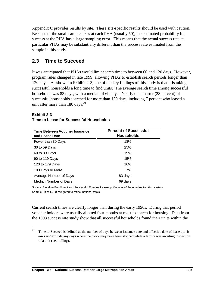Appendix C provides results by site. These site-specific results should be used with caution. Because of the small sample sizes at each PHA (usually 50), the estimated probability for success at the PHA has a large sampling error. This means that the actual success rate at particular PHAs may be substantially different than the success rate estimated from the sample in this study.

## **2.3 Time to Succeed**

It was anticipated that PHAs would limit search time to between 60 and 120 days. However, program rules changed in late 1999, allowing PHAs to establish search periods longer than 120 days. As shown in Exhibit 2-3, one of the key findings of this study is that it is taking successful households a long time to find units. The average search time among successful households was 83 days, with a median of 69 days. Nearly one quarter (23 percent) of successful households searched for more than 120 days, including 7 percent who leased a unit after more than  $180 \text{ days}$ .<sup>21</sup>

### **Time Between Voucher Issuance Percent of Successful and Lease Date Households** Fewer than 30 Days 18% 30 to 59 Days 25% 60 to 89 Days 19% 90 to 119 Days 15% 120 to 179 Days 16% 180 Days or More 7% Average Number of Days 83 days Median Number of Days 69 days

#### **Exhibit 2-3**

 $\overline{a}$ 

### **Time to Lease for Successful Households**

Source: Baseline Enrollment and Successful Enrollee Lease-up Modules of the enrollee tracking system. Sample Size: 1,780, weighted to reflect national totals

Current search times are clearly longer than during the early 1990s. During that period voucher holders were usually allotted four months at most to search for housing. Data from the 1993 success rate study show that all successful households found their units within the

 *does not* exclude any days where the clock may have been stopped while a family was awaiting inspection  $21$  Time to Succeed is defined as the number of days between issuance date and effective date of lease up. It of a unit (i.e., tolling).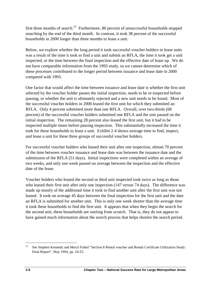first three months of search.<sup>22</sup> Furthermore, 80 percent of unsuccessful households stopped searching by the end of the third month. In contrast, it took 38 percent of the successful households in 2000 longer than three months to lease a unit.

Below, we explore whether the long period it took successful voucher holders to lease units was a result of the time it took to find a unit and submit an RFLA, the time it took get a unit inspected, or the time between the final inspection and the effective date of lease up. We do not have comparable information from the 1993 study, so we cannot determine which of these processes contributed to the longer period between issuance and lease date in 2000 compared with 1993.

One factor that would affect the time between issuance and lease date is whether the first unit selected by the voucher holder passes the initial inspection, needs to be re-inspected before passing, or whether the unit is ultimately rejected and a new unit needs to be found. Most of the successful voucher holders in 2000 leased the first unit for which they submitted an RFLA. Only 4 percent submitted more than one RFLA. Overall, over two-thirds (68 percent) of the successful voucher holders submitted one RFLA and the unit passed on the initial inspection. The remaining 28 percent also leased the first unit, but it had to be inspected multiple times before passing inspection. This substantially increased the time it took for these households to lease a unit. Exhibit 2-4 shows average time to find, inspect, and lease a unit for these three groups of successful voucher holders.

For successful voucher holders who leased their unit after one inspection, almost 70 percent of the time between voucher issuance and lease date was between the issuance date and the submission of the RFLA (51 days). Initial inspections were completed within an average of two weeks, and only one week passed on average between the inspection and the effective date of the lease.

Voucher holders who leased the second or third unit inspected took twice as long as those who leased their first unit after only one inspection (147 versus 74 days). The difference was made up mostly of the additional time it took to find another unit after the first unit was not leased. It took on average 45 days between the final inspection for the first unit and the date an RFLA is submitted for another unit. This is only one week shorter than the average time it took these households to find the first unit. It appears that when they begin the search for the second unit, these households are starting from scratch. That is, they do not appear to have gained much information about the search process that helps shorten the search period.

 $22$ See Stephen Kennedy and Meryl Finkel "Section 8 Rental voucher and Rental Certificate Utilization Study: Final Report", May 1994, pp. 24-25.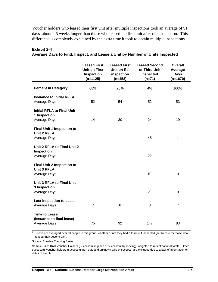Voucher holders who leased their first unit after multiple inspections took an average of 91 days, about 2.5 weeks longer than those who leased the first unit after one inspection. This difference is completely explained by the extra time it took to obtain multiple inspections.

|                                                                         | <b>Leased First</b><br><b>Unit on First</b><br>Inspection<br>$(n=1125)$ | <b>Leased First</b><br>Unit on Re-<br>inspection<br>$(n=458)$ | <b>Leased Second</b><br>or Third Unit<br>Inspected<br>$(n=71)$ | <b>Overall</b><br>Average<br><b>Days</b><br>$(n=1670)$ |
|-------------------------------------------------------------------------|-------------------------------------------------------------------------|---------------------------------------------------------------|----------------------------------------------------------------|--------------------------------------------------------|
| <b>Percent in Category</b>                                              | 68%                                                                     | 28%                                                           | 4%                                                             | 100%                                                   |
| <b>Issuance to Initial RFLA</b><br>Average Days                         | 52                                                                      | 54                                                            | 52                                                             | 53                                                     |
| <b>Initial RFLA to Final Unit</b><br>1 Inspection<br>Average Days       | 14                                                                      | 30                                                            | 24                                                             | 19                                                     |
| <b>Final Unit 1 Inspection to</b><br><b>Unit 2 RFLA</b><br>Average Days |                                                                         | --                                                            | 45                                                             | 1                                                      |
| Unit 2 RFLA to Final Unit 2<br>Inspection<br>Average Days               |                                                                         |                                                               | 22                                                             | 1                                                      |
| <b>Final Unit 2 Inspection to</b><br><b>Unit 3 RFLA</b><br>Average Days |                                                                         |                                                               | 5 <sup>1</sup>                                                 | $\mathbf 0$                                            |
| <b>Unit 3 RFLA to Final Unit</b><br>3 Inspection<br>Average Days        |                                                                         | --                                                            | 2 <sup>1</sup>                                                 | $\Omega$                                               |
| <b>Last Inspection to Lease</b><br>Average Days                         | $\overline{7}$                                                          | 6                                                             | 8                                                              | $\overline{7}$                                         |
| <b>Time to Lease</b><br>(issuance to final lease)<br>Average Days       | 75                                                                      | 92                                                            | 147                                                            | 83                                                     |

#### **Exhibit 2-4**

**Average Days to Find, Inspect, and Lease a Unit by Number of Units Inspected** 

 $1$  These are averaged over all people in this group, whether or not they had a third unit inspected (set to zero for those who leased their second unit).

Source: Enrollee Tracking System

Sample Size: 1670 Voucher Holders (Successful in place or successful by moving), weighted to reflect national totals. Other successful voucher holders (successful port outs and unknown type of success) are excluded due to a lack of information on dates of events.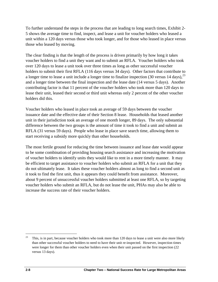To further understand the steps in the process that are leading to long search times, Exhibit 2 5 shows the average time to find, inspect, and lease a unit for voucher holders who leased a unit within a 120 days versus those who took longer, and for those who leased in place versus those who leased by moving.

The clear finding is that the length of the process is driven primarily by how long it takes voucher holders to find a unit they want and to submit an RFLA. Voucher holders who took over 120 days to lease a unit took over three times as long as other successful voucher holders to submit their first RFLA (116 days versus 34 days). Other factors that contribute to a longer time to lease a unit include a longer time to finalize inspection  $(30 \text{ versus } 14 \text{ days})$ ,  $^{23}$ and a longer time between the final inspection and the lease date (14 versus 5 days). Another contributing factor is that 11 percent of the voucher holders who took more than 120 days to lease their unit, leased their second or third unit whereas only 2 percent of the other voucher holders did this.

 RFLA (31 versus 59 days). People who lease in place save search time, allowing them to Voucher holders who leased in place took an average of 59 days between the voucher issuance date and the effective date of their Section 8 lease. Households that leased another unit in their jurisdiction took an average of one month longer, 89 days. The only substantial difference between the two groups is the amount of time it took to find a unit and submit an start receiving a subsidy more quickly than other households.

The most fertile ground for reducing the time between issuance and lease date would appear to be some combination of providing housing search assistance and increasing the motivation of voucher holders to identify units they would like to rent in a more timely manner. It may be efficient to target assistance to voucher holders who submit an RFLA for a unit that they do not ultimately lease. It takes these voucher holders almost as long to find a second unit as it took to find the first unit, thus it appears they could benefit from assistance. Moreover, about 9 percent of unsuccessful voucher holders submitted at least one RFLA, so by targeting voucher holders who submit an RFLA, but do not lease the unit, PHAs may also be able to increase the success rate of their voucher holders.

 $23$  This, is in part, because voucher holders who took more than 120 days to lease a unit were also more likely than other successful voucher holders to need to have their unit re-inspected. However, inspection times were longer for them than other voucher holders even when their unit passed on the first inspection (22 versus 13 days).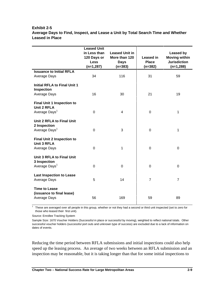#### **Exhibit 2-5**

#### **Average Days to Find, Inspect, and Lease a Unit by Total Search Time and Whether Leased in Place**

|                                                                                      | <b>Leased Unit</b><br>in Less than<br>120 Days or<br><b>Less</b><br>$(n=1,287)$ | <b>Leased Unit in</b><br>More than 120<br><b>Days</b><br>$(n=383)$ | <b>Leased in</b><br><b>Place</b><br>$(n=382)$ | <b>Leased by</b><br><b>Moving within</b><br><b>Jurisdiction</b><br>$(n=1,288)$ |
|--------------------------------------------------------------------------------------|---------------------------------------------------------------------------------|--------------------------------------------------------------------|-----------------------------------------------|--------------------------------------------------------------------------------|
| <b>Issuance to Initial RFLA</b>                                                      |                                                                                 |                                                                    |                                               |                                                                                |
| Average Days                                                                         | 34                                                                              | 116                                                                | 31                                            | 59                                                                             |
| <b>Initial RFLA to Final Unit 1</b><br>Inspection<br>Average Days                    | 16                                                                              | 30                                                                 | 21                                            | 19                                                                             |
|                                                                                      |                                                                                 |                                                                    |                                               |                                                                                |
| <b>Final Unit 1 Inspection to</b><br><b>Unit 2 RFLA</b><br>Average Days <sup>1</sup> | $\mathbf 0$                                                                     | 4                                                                  | 0                                             | 1                                                                              |
| Unit 2 RFLA to Final Unit<br>2 Inspection<br>Average Days <sup>1</sup>               | $\mathbf 0$                                                                     | 3                                                                  | $\mathbf 0$                                   | $\mathbf{1}$                                                                   |
| <b>Final Unit 2 Inspection to</b><br><b>Unit 3 RFLA</b><br>Average Days              | $\mathbf 0$                                                                     | 1                                                                  | $\mathbf 0$                                   | 0                                                                              |
| <b>Unit 3 RFLA to Final Unit</b><br>3 Inspection<br>Average Days <sup>1</sup>        | $\mathbf 0$                                                                     | 0                                                                  | $\mathbf 0$                                   | 0                                                                              |
| <b>Last Inspection to Lease</b><br>Average Days                                      | 5                                                                               | 14                                                                 | $\overline{7}$                                | $\overline{7}$                                                                 |
| <b>Time to Lease</b><br>(issuance to final lease)<br>Average Days                    | 56                                                                              | 169                                                                | 59                                            | 89                                                                             |

<sup>1</sup> These are averaged over all people in this group, whether or not they had a second or third unit inspected (set to zero for those who leased their first unit).

Source: Enrollee Tracking System

Sample Size: 1670 Voucher Holders (Successful in place or successful by moving), weighted to reflect national totals. Other successful voucher holders (successful port outs and unknown type of success) are excluded due to a lack of information on dates of events.

Reducing the time period between RFLA submissions and initial inspections could also help speed up the leasing process. An average of two weeks between an RFLA submission and an inspection may be reasonable, but it is taking longer than that for some initial inspections to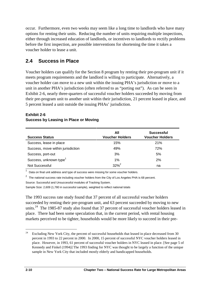occur. Furthermore, even two weeks may seem like a long time to landlords who have many options for renting their units. Reducing the number of units requiring multiple inspections, either through increased education of landlords, or incentives to landlords to rectify problems before the first inspection, are possible interventions for shortening the time it takes a voucher holder to lease a unit.

## **2.4 Success in Place**

Voucher holders can qualify for the Section 8 program by renting their pre-program unit if it meets program requirements and the landlord is willing to participate. Alternatively, a voucher holder can move to a new unit within the issuing PHA's jurisdiction or move to a unit in another PHA's jurisdiction (often referred to as "porting out"). As can be seen in Exhibit 2-6, nearly three-quarters of successful voucher holders succeeded by moving from their pre-program unit to another unit within their jurisdiction, 21 percent leased in place, and 5 percent leased a unit outside the issuing PHAs' jurisdiction.

#### **Exhibit 2-6 Success by Leasing in Place or Moving**

| <b>Success Status</b>              | All<br><b>Voucher Holders</b> | <b>Successful</b><br><b>Voucher Holders</b> |
|------------------------------------|-------------------------------|---------------------------------------------|
| Success, lease in place            | 15%                           | 21%                                         |
| Success, move within jurisdiction  | 49%                           | 72%                                         |
| Success, port-out                  | 3%                            | 5%                                          |
| Success, unknown type <sup>1</sup> | 1%                            | 2%                                          |
| Not Successful                     | $32%^{2}$                     | na                                          |

Data on final unit address and type of success were missing for some voucher holders.

 $2$  The national success rate including voucher holders from the City of Los Angeles PHA is 68 percent. Source: Successful and Unsuccessful modules of Tracking System.

Sample Size: 2,609 (1,780 in successful sample), weighted to reflect national totals

The 1993 success rate study found that 37 percent of all successful voucher holders succeeded by renting their pre-program unit, and 63 percent succeeded by moving to new units.<sup>24</sup> The 1985-87 study also found that 37 percent of successful voucher holders leased in place. There had been some speculation that, in the current period, with rental housing markets perceived to be tighter, households would be more likely to succeed in their pre-

 $24$  Kennedy and Finkel (1994)] The 1993 finding for NYC was thought to be largely a function of the unique Excluding New York City, the percent of successful households that leased in place decreased from 30 percent in 1993 to 22 percent in 2000. In 2000, 15 percent of successful NYC voucher holders leased in place. However, in 1993, 61 percent of successful voucher holders in NYC leased in place. [See page 5 of sample in New York City that included mostly elderly and handicapped households.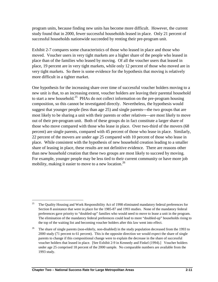program units, because finding new units has become more difficult. However, the current study found that in 2000, fewer successful households leased in place. Only 21 percent of successful households nationwide succeeded by renting their pre-program unit.

Exhibit 2-7 compares some characteristics of those who leased in place and those who moved. Voucher users in very tight markets are a higher share of the people who leased in place than of the families who leased by moving. Of all the voucher users that leased in place, 19 percent are in very tight markets, while only 12 percent of those who moved are in very tight markets. So there is some evidence for the hypothesis that moving is relatively more difficult in a tighter market.

One hypothesis for the increasing share over time of successful voucher holders moving to a new unit is that, to an increasing extent, voucher holders are leaving their parental household to start a new household.<sup>25</sup> PHAs do not collect information on the pre-program housing composition, so this cannot be investigated directly. Nevertheless, the hypothesis would suggest that younger people (less than age 25) and single parents—the two groups that are most likely to be sharing a unit with their parents or other relatives—are most likely to move out of their pre-program unit. Both of these groups do in fact constitute a larger share of those who move compared with those who lease in place. Over two-third of the movers (68 percent) are single parents, compared with 45 percent of those who lease in place. Similarly, 22 percent of the movers are under age 25 compared with 10 percent of those who lease in place. While consistent with the hypothesis of new household creation leading to a smaller share of leasing in place, these results are not definitive evidence. There are reasons other than new household creation that these two groups are most likely to succeed by moving. For example, younger people may be less tied to their current community or have more job mobility, making it easier to move to a new location.<sup>26</sup>

 $\overline{a}$ <sup>25</sup> The Quality Housing and Work Responsibility Act of 1998 eliminated mandatory federal preferences for Section 8 assistance that were in place for the 1985-87 and 1993 studies. None of the mandatory federal preferences gave priority to "doubled-up" families who would need to move to lease a unit in the program. The elimination of the mandatory federal preferences could lead to more "doubled-up" households rising to the top of the waiting list and becoming voucher holders after this law went into effect.

 2000 study (71 percent to 61 percent). This is the opposite direction we would expect the share of single <sup>26</sup> The share of single parents (non-elderly, non-disabled) in the study population decreased from the 1993 to parents to change if this compositional change were to explain the decrease in the share of successful voucher holders that leased in place. [See Exhibit 2-9 in Kennedy and Finkel (1994).] Voucher holders under age 25 comprised 18 percent of the 2000 sample. No comparable numbers are available from the 1993 study.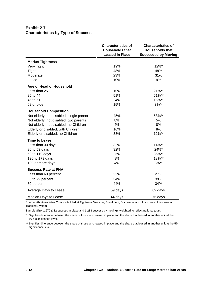#### **Exhibit 2-7 Characteristics by Type of Success**

|                                          | <b>Characteristics of</b><br><b>Households that</b><br><b>Leased in Place</b> | <b>Characteristics of</b><br><b>Households that</b><br><b>Succeeded by Moving</b> |
|------------------------------------------|-------------------------------------------------------------------------------|-----------------------------------------------------------------------------------|
| <b>Market Tightness</b>                  |                                                                               |                                                                                   |
| Very Tight                               | 19%                                                                           | 12%*                                                                              |
| Tight                                    | 48%                                                                           | 48%                                                                               |
| Moderate                                 | 23%                                                                           | 31%                                                                               |
| Loose                                    | 10%                                                                           | 9%                                                                                |
| Age of Head of Household                 |                                                                               |                                                                                   |
| Less than 25                             | 10%                                                                           | 21%**                                                                             |
| 25 to 44                                 | 51%                                                                           | 61%**                                                                             |
| 45 to 61                                 | 24%                                                                           | 15%**                                                                             |
| 62 or older                              | 15%                                                                           | $3%**$                                                                            |
| <b>Household Composition</b>             |                                                                               |                                                                                   |
| Not elderly, not disabled, single parent | 45%                                                                           | 68%**                                                                             |
| Not elderly, not disabled, two parents   | 8%                                                                            | 5%                                                                                |
| Not elderly, not disabled, no Children   | 4%                                                                            | 8%                                                                                |
| Elderly or disabled, with Children       | 10%                                                                           | 8%                                                                                |
| Elderly or disabled, no Children         | 33%                                                                           | 12%**                                                                             |
| <b>Time to Lease</b>                     |                                                                               |                                                                                   |
| Less than 30 days                        | 32%                                                                           | 14%**                                                                             |
| 30 to 59 days                            | 32%                                                                           | 24%*                                                                              |
| 60 to 119 days                           | 25%                                                                           | 36%**                                                                             |
| 120 to 179 days                          | 8%                                                                            | 18%**                                                                             |
| 180 or more days                         | 4%                                                                            | $8\%**$                                                                           |
| <b>Success Rate at PHA</b>               |                                                                               |                                                                                   |
| Less than 60 percent                     | 22%                                                                           | 27%                                                                               |
| 60 to 79 percent                         | 34%                                                                           | 39%                                                                               |
| 80 percent                               | 44%                                                                           | 34%                                                                               |
| Average Days to Lease                    | 59 days                                                                       | 89 days                                                                           |
| Median Days to Lease                     | 44 days                                                                       | 76 days                                                                           |

Source: Abt Associates Composite Market Tightness Measure, Enrollment, Successful and Unsuccessful modules of Tracking System.

Sample Size: 1,670 (382 success in place and 1,288 success by moving), weighted to reflect national totals

\* Signifies difference between the share of those who leased in place and the share that leased in another unit at the 10% significance level.

\*\* Signifies difference between the share of those who leased in place and the share that leased in another unit at the 5% significance level.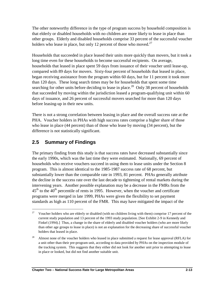The other noteworthy difference in the type of program success by household composition is that elderly or disabled households with no children are more likely to lease in place than other groups. Elderly and disabled households comprise 33 percent of the successful voucher holders who lease in place, but only 12 percent of those who moved. $27$ 

Households that succeeded in place leased their units more quickly than movers, but it took a long time even for these households to become successful recipients. On average, households that leased in place spent 59 days from issuance of their voucher until lease-up, compared with 89 days for movers. Sixty-four percent of households that leased in place, began receiving assistance from the program within 60 days, but for 11 percent it took more than 120 days. These long search times may be for households that spent some time searching for other units before deciding to lease in place.<sup>28</sup> Only 38 percent of households that succeeded by moving within the jurisdiction leased a program-qualifying unit within 60 days of issuance, and 26 percent of successful movers searched for more than 120 days before leasing-up in their new units.

There is not a strong correlation between leasing in place and the overall success rate at the PHA. Voucher holders in PHAs with high success rates comprise a higher share of those who lease in place (44 percent) than of those who lease by moving (34 percent), but the difference is not statistically significant.

## **2.5 Summary of Findings**

The primary finding from this study is that success rates have decreased substantially since the early 1990s, which was the last time they were estimated. Nationally, 69 percent of households who receive vouchers succeed in using them to lease units under the Section 8 program. This is almost identical to the 1985-1987 success rate of 68 percent, but substantially lower than the comparable rate in 1993, 81 percent. PHAs generally attribute the decline in the success rate over the last decade to tightening of rental markets during the intervening years. Another possible explanation may be a decrease in the FMRs from the  $45<sup>th</sup>$  to the  $40<sup>th</sup>$  percentile of rents in 1995. However, when the voucher and certificate programs were merged in late 1999, PHAs were given the flexibility to set payment standards as high as 110 percent of the FMR. This may have mitigated the impact of the

 $\overline{a}$  Finkel (1994).] Thus, a change in the share of elderly and disabled voucher holders (who are more likely <sup>27</sup> Voucher holders who are elderly or disabled (with no children living with them) comprise 17 percent of the current study population and 13 percent of the 1993 study population. [See Exhibit 2-9 in Kennedy and than other age groups to lease in place) is not an explanation for the decreasing share of successful voucher holders that leased in place.

 $28\,$ 28 Almost none of the voucher holders who leased in place submitted a request for lease approval (RFLA) for a unit other than their pre-program unit, according to data provided by PHAs on the inspection module of the tracking system. This suggests that they either did not look for another unit prior to attempting to lease in place or looked, but did not find another suitable unit.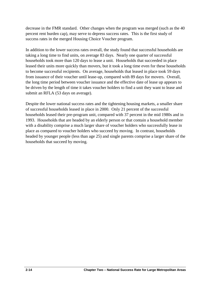decrease in the FMR standard. Other changes when the program was merged (such as the 40 percent rent burden cap), may serve to depress success rates. This is the first study of success rates in the merged Housing Choice Voucher program.

In addition to the lower success rates overall, the study found that successful households are taking a long time to find units, on average 83 days. Nearly one quarter of successful households took more than 120 days to lease a unit. Households that succeeded in place leased their units more quickly than movers, but it took a long time even for these households to become successful recipients. On average, households that leased in place took 59 days from issuance of their voucher until lease-up, compared with 89 days for movers. Overall, the long time period between voucher issuance and the effective date of lease up appears to be driven by the length of time it takes voucher holders to find a unit they want to lease and submit an RFLA (53 days on average).

Despite the lower national success rates and the tightening housing markets, a smaller share of successful households leased in place in 2000. Only 21 percent of the successful households leased their pre-program unit, compared with 37 percent in the mid 1980s and in 1993. Households that are headed by an elderly person or that contain a household member with a disability comprise a much larger share of voucher holders who successfully lease in place as compared to voucher holders who succeed by moving. In contrast, households headed by younger people (less than age 25) and single parents comprise a larger share of the households that succeed by moving.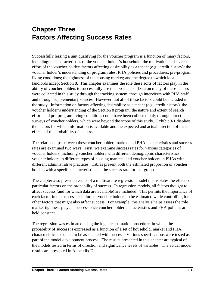## **Chapter Three Factors Affecting Success Rates**

 the study. Information on factors affecting desirability as a tenant (e.g., credit history), the Successfully leasing a unit qualifying for the voucher program is a function of many factors, including: the characteristics of the voucher holder's household; the motivation and search effort of the voucher holder; factors affecting desirability as a tenant (e.g., credit history); the voucher holder's understanding of program rules; PHA policies and procedures; pre-program living conditions; the tightness of the housing market; and the degree to which local landlords accept Section 8. This chapter examines the role these sorts of factors play in the ability of voucher holders to successfully use their vouchers. Data on many of these factors were collected in this study through the tracking system, through interviews with PHA staff, and through supplementary sources. However, not all of these factors could be included in voucher holder's understanding of the Section 8 program, the nature and extent of search effort, and pre-program living conditions could have been collected only through direct surveys of voucher holders, which were beyond the scope of this study. Exhibit 3-1 displays the factors for which information is available and the expected and actual direction of their effects of the probability of success.

The relationships between these voucher holder, market, and PHA characteristics and success rates are examined two ways. First, we examine success rates for various categories of voucher holders, including voucher holders with different demographic characteristics, voucher holders in different types of housing markets, and voucher holders in PHAs with different administrative practices. Tables present both the estimated proportion of voucher holders with a specific characteristic and the success rate for that group.

 particular factors on the probability of success. In regression models, all factors thought to The chapter also presents results of a multivariate regression model that isolates the effects of affect success (and for which data are available) are included. This permits the importance of each factor in the success or failure of voucher holders to be estimated while controlling for other factors that might also affect success. For example, this analysis helps assess the role market tightness plays in success once voucher holder characteristics and PHA policies are held constant.

The regression was estimated using the logistic estimation procedure, in which the probability of success is expressed as a function of a set of household, market and PHA characteristics expected to be associated with success. Various specifications were tested as part of the model development process. The results presented in this chapter are typical of the models tested in terms of direction and significance levels of variables. The actual model results are presented in Appendix D.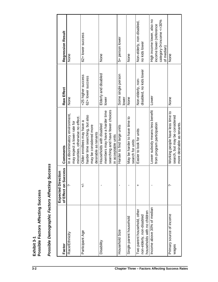|                             | <b>Expected Direction</b> |                                  |                         |                                             |
|-----------------------------|---------------------------|----------------------------------|-------------------------|---------------------------------------------|
| Factor                      | of Effect on Success      | Comments                         | Raw Effect              | <b>Regression Result</b>                    |
| Race/Ethnicity              |                           | In a discriminatory environment, | None                    | None                                        |
|                             |                           | may expect a lower rate for      |                         |                                             |
|                             |                           | minorities, otherwise no effect. |                         |                                             |
| Participant Age             | $\overline{+}$            | Older enrollees may have a       | <25 higher success      | 62+ lower success                           |
|                             |                           | harder time searching, but also  | 62+ lower success       |                                             |
|                             |                           | may be considered more           |                         |                                             |
|                             |                           | desirable as tenants             |                         |                                             |
| Disability                  |                           | Households with disabled         | Elderly and disabled    | None                                        |
|                             |                           | members may have a harder time   | lower                   |                                             |
|                             |                           | searching and have fewer choices |                         |                                             |
|                             |                           | in acceptable units              |                         |                                             |
| Household Size              |                           | Harder to find large units       | Some single person      | 5+ person lower                             |
|                             |                           |                                  | lower                   |                                             |
| Single parent household     |                           | May be harder to have time to    | None                    | None                                        |
|                             |                           | search for units                 |                         |                                             |
| Two parent household, other | +                         | Easier to look for units         | Non-elderly, non-       | Non-elderly, non-disabled,                  |
| non-elderly, non-disabled   |                           |                                  | disabled, no kids lower | no kids lower                               |
| households with no children |                           |                                  |                         |                                             |
| Income above 30% of median  |                           | Lower subsidy means less benefit | Lower                   | High income lower, also no                  |
|                             |                           | from program participation       |                         | income lower (reference                     |
|                             |                           |                                  |                         | category 0 <income <="30%&lt;/td"></income> |
|                             |                           |                                  |                         | of median)                                  |
| Primary source of income    | پ                         | Working people have less time to | None                    | None                                        |
| wages                       |                           | search, but may be considered    |                         |                                             |
|                             |                           | more desirable as tenants.       |                         |                                             |

Exhibit 3-1<br>Possible Factors Affecting Success **Possible Factors Affecting Success**

Possible Demographic Factors Affecting Success *Possible Demographic Factors Affecting Success*

**Exhibit 3-1**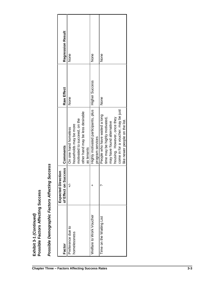| Possible Demographic Factors Affecting Suc | ⊆<br><b>Expected Directio</b> | <b>cess:</b>                        |                       |                   |
|--------------------------------------------|-------------------------------|-------------------------------------|-----------------------|-------------------|
| Factor                                     | of Effect on Success          | <b>Comments</b>                     | Raw Effect            | Regression Result |
| Preference due to                          | $\overline{+}$                | On one hand homeless                | None                  | None              |
| homelessness                               |                               | households may be more              |                       |                   |
|                                            |                               | motivated to succeed, on the        |                       |                   |
|                                            |                               | other hand may be less desirable    |                       |                   |
|                                            |                               | as tenants                          |                       |                   |
| Welfare to Work Voucher                    | +                             | Highly motivated participants, plus | <b>Higher Success</b> | None              |
|                                            |                               | program services                    |                       |                   |
| Time on the Waiting List                   | ب                             | People who have waited a long       | None                  | None              |
|                                            |                               | time may be highly motivated,       |                       |                   |
|                                            |                               | may have found alternative          |                       |                   |
|                                            |                               | housing. However, once they         |                       |                   |
|                                            |                               | come in for a voucher, may be just  |                       |                   |
|                                            |                               | like newer people on the list.      |                       |                   |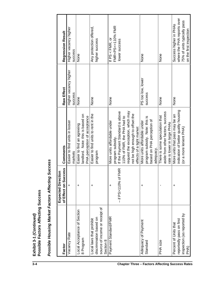|                                  | ă<br>i<br>V                              |
|----------------------------------|------------------------------------------|
| ទី<br>and.<br>$-1 - 3$<br>Exhibi | <b>Tectin</b><br>actors<br>$\frac{1}{2}$ |

Possible Housing Market Factors Affecting Success *Possible Housing Market Factors Affecting Success*

| Factor                                      | of Effect on Success<br><b>Expected Direction</b> | Comments                                                         | Raw Effect            | Regression Result                       |
|---------------------------------------------|---------------------------------------------------|------------------------------------------------------------------|-----------------------|-----------------------------------------|
| Vacancy Rate                                | $\ddot{}$                                         | Easier to find units in looser                                   | Higher vacancy higher | Higher vacancy higher                   |
|                                             |                                                   | markets                                                          | <b>SUCCESS</b>        | <b>SUCCeSS</b>                          |
| Local Acceptance of Section                 | +                                                 | Easier to find an agreeing                                       | None                  | None                                    |
| 8 Program                                   |                                                   | landlord. Note: this is based on<br>PHA perception of acceptance |                       |                                         |
| Local laws that prohibit                    | +                                                 | Easier to find units to rent in the                              | None                  | Any protection offered,                 |
| discrimination based on                     |                                                   | program                                                          |                       | higher success                          |
| source of income or receipt of<br>Section 8 |                                                   |                                                                  |                       |                                         |
| Payment Standard/FMR                        | $\ddot{}$                                         | More units affordable under                                      | None                  | If $PS < FMR$ , or                      |
|                                             |                                                   | program subsidy.                                                 |                       | FMR <ps<=110% fmr<="" td=""></ps<=110%> |
|                                             | $-$ if PS>110% of FMR                             | If the Payment Standard is above                                 |                       | lower success                           |
|                                             |                                                   | 110% of FMR, the PHA had to                                      |                       |                                         |
|                                             |                                                   | request the exception, which may                                 |                       |                                         |
|                                             |                                                   | not be high enough to offset the                                 |                       |                                         |
|                                             |                                                   | effects of a tight market                                        |                       |                                         |
| Adequacy of Payment                         | +                                                 | More units affordable under                                      | PS too low, lower     | None                                    |
| Standard                                    |                                                   | program subsidy. Note: this is                                   | <b>SUCCESS</b>        |                                         |
|                                             |                                                   | based on PHA perception of                                       |                       |                                         |
|                                             |                                                   | adequacy.                                                        |                       |                                         |
| PHA size                                    |                                                   | There is some speculation that                                   | None                  | None                                    |
|                                             |                                                   | aside from other factors, success                                |                       |                                         |
|                                             |                                                   | rate is lower in large PHAs                                      |                       |                                         |
| Percent of Units that                       | +                                                 | More units that pass may be an                                   | None                  | Success higher in PHAs                  |
| reportedly pass on first                    |                                                   | indication of better quality housing                             |                       | where the PHA reports over              |
| inspection (as reported by                  |                                                   | (or a more lenient PHA)                                          |                       | 75% of units typically pass             |
| PHA)                                        |                                                   |                                                                  |                       | on the first inspection                 |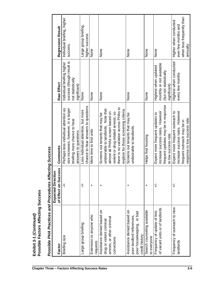| Possible PHA Practices and Procedures Affecting Success |                                                   |                                                                            |                            |                                         |
|---------------------------------------------------------|---------------------------------------------------|----------------------------------------------------------------------------|----------------------------|-----------------------------------------|
| Factor                                                  | of Effect on Success<br><b>Expected Direction</b> | Comments                                                                   | Raw Effect                 | <b>Regression Result</b>                |
| Briefing size                                           | $\ddagger$                                        | Perhaps less individual attention as                                       | Individual briefing higher | Individual briefing, higher             |
|                                                         |                                                   | size increases, however, in a larger                                       | success (though result is  | success,                                |
|                                                         |                                                   | briefing more chance to hear                                               | not statistically          |                                         |
|                                                         |                                                   | answers to questions                                                       | significant)               |                                         |
| Large group briefing                                    | ₹                                                 | chance to hear answers to questions<br>Less individual attention, but more | None                       | Large group briefing,<br>higher success |
| Extension to anyone who                                 | +                                                 | More time to find units                                                    | None                       | None                                    |
| requests                                                |                                                   |                                                                            |                            |                                         |
| Assistance denied based on                              | +                                                 | Screens out tenants that may be                                            | None                       | None                                    |
| drug or violent criminal                                |                                                   | undesirable to landlords. Note that                                        |                            |                                         |
| arrests, or other criminal                              |                                                   | almost all PHAs screen based on                                            |                            |                                         |
| convictions                                             |                                                   | violent or drug-related arrests, so                                        |                            |                                         |
|                                                         |                                                   | there is no variation across PHAs to                                       |                            |                                         |
|                                                         |                                                   | explore for those screening criteria.                                      |                            |                                         |
| Assistance denied based on                              | +                                                 | Screens out tenants that may be                                            | None                       | None                                    |
| poor landlord references,                               |                                                   | undesirable to landlords.                                                  |                            |                                         |
| or bad<br>poor housekeeping,<br>credit history          |                                                   |                                                                            |                            |                                         |
| Search counseling available                             | $\ddot{}$                                         | Helps find housing                                                         | None                       | None                                    |
| to everyone                                             |                                                   |                                                                            |                            |                                         |
| Frequency of update of lists                            | $\overline{+}$                                    | Expect more frequent updates to                                            | Highest when updated       | None                                    |
| of vacant units or of landlords                         |                                                   | increase success rates. However                                            | monthly or not available   |                                         |
|                                                         |                                                   | frequent updates may be in response                                        | (but not statistically     |                                         |
|                                                         |                                                   | to low success rate.                                                       | significant)               |                                         |
| Frequency of outreach to new                            | $\overline{+}$                                    | Expect more frequent outreach to                                           | Highest when conducted     | Higher when conducted                   |
| andlords                                                |                                                   | increase success rates. However                                            | every few months           | ever few months and                     |
|                                                         |                                                   | frequent outreach may be in                                                |                            | when less frequently than               |
|                                                         |                                                   | response to low success rate.                                              |                            | annually.                               |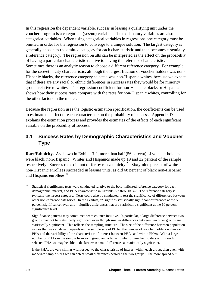In this regression the dependent variable, success in leasing a qualifying unit under the voucher program is a categorical (yes/no) variable. The explanatory variables are also categorical variables. When using categorical variables in regressions one category must be omitted in order for the regression to converge to a unique solution. The largest category is generally chosen as the omitted category for each characteristic and then becomes essentially a reference category. The regression results can be interpreted as the effect on the probability of having a particular characteristic relative to having the reference characteristic. Sometimes there is an analytic reason to choose a different reference category. For example, for the race/ethnicity characteristic, although the largest fraction of voucher holders was non-Hispanic blacks, the reference category selected was non-Hispanic whites, because we expect that if there are any racial or ethnic differences in success rates they would be for minority groups relative to whites. The regression coefficient for non-Hispanic blacks or Hispanics shows how their success rates compare with the rates for non-Hispanic whites, controlling for the other factors in the model.

Because the regression uses the logistic estimation specification, the coefficients can be used to estimate the effect of each characteristic on the probability of success. Appendix D explains the estimation process and provides the estimates of the effects of each significant variable on the probability of success.

## **3.1 Success Rates by Demographic Characteristics and Voucher Type**

**Race/Ethnicity.** As shown in Exhibit 3-2, more than half (56 percent) of voucher holders were black, non-Hispanic. Whites and Hispanics made up 19 and 22 percent of the sample respectively. Success rates did not differ by race/ethnicity.<sup>29</sup> Sixty-nine percent of white non-Hispanic enrollees succeeded in leasing units, as did 68 percent of black non-Hispanic and Hispanic enrollees.<sup>30</sup>

If the PHAs are very similar with respect to the characteristic of interest within each group, then even with moderate sample sizes we can detect small differences between the two groups. The more spread out

<sup>&</sup>lt;sup>29</sup> Statistical significance tests were conducted relative to the bold-italicized reference category for each demographic, market, and PHA characteristic in Exhibits 3-2 through 3-7. The reference category is typically the largest category. Tests could also be conducted to test the significance of differences between other non-reference categories. In the exhibits, \*\* signifies statistically significant differences at the 5 percent significance level, and \* signifies differences that are statistically significant at the 10 percent significance level.

 Significance patterns may sometimes seem counter-intuitive. In particular, a large difference between two groups may not be statistically significant even though smaller differences between two other groups are number of PHAs in the sample from each group and a large number of voucher holders within each selected PHA we may be able to declare even small differences as statistically significant. statistically significant. This reflects the sampling structure. The size of the difference between population values that we can detect depends on the sample size of PHAs, the number of voucher holders within each PHA and the variability of the characteristic of interest between PHAs and within PHAs. With a large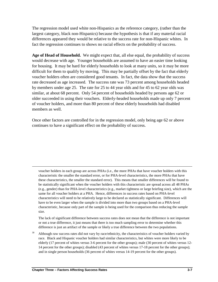The regression model used white non-Hispanics as the reference category, (rather than the largest category, black non-Hispanics) because the hypothesis is that if any material racial differences appeared they would be relative to the success rate for non-Hispanic whites. In fact the regression continues to shows no racial effects on the probability of success.

 for housing. It may be hard for elderly households to look at many units, so it may be more **Age of Head of Household.** We might expect that, all else equal, the probability of success would decrease with age. Younger households are assumed to have an easier time looking difficult for them to qualify by moving. This may be partially offset by the fact that elderly voucher holders often are considered good tenants. In fact, the data show that the success rate decreased as age increased. The success rate was 73 percent among households headed by members under age 25. The rate for 25 to 44 year olds and for 45 to 62 year olds was similar, at about 68 percent. Only 54 percent of households headed by persons age 62 or older succeeded in using their vouchers. Elderly-headed households made up only 7 percent of voucher holders, and more than 80 percent of these elderly households had disabled members as well.

Once other factors are controlled for in the regression model, only being age 62 or above continues to have a significant effect on the probability of success.

voucher holders in each group are across PHAs (i.e., the more PHAs that have voucher holders with this characteristic the smaller the standard error, or for PHA-level characteristics, the more PHAs that have these characteristics, the smaller the standard error). This means that smaller differences will be found to be statistically significant when the voucher holders with this characteristic are spread across all 48 PHAs (e.g., gender) than for PHA-level characteristics (e.g., market tightness or large briefing size), which are the same for all voucher holders at a PHA. Hence, differences in success rates based on PHA-level characteristics will need to be relatively large to be declared as statistically significant. Differences will have to be even larger when the sample is divided into more than two groups based on a PHA-level characteristic, because only part of the sample is being used for the comparison thus reducing the sample size.

 or not a true difference, it just means that there is too much sampling error to determine whether this The lack of significant difference between success rates does not mean that the difference is not important difference is just an artifact of the sample or likely a true difference between the two populations.

 elderly (17 percent of whites versus 3-6 percent for the other groups); male (30 percent of whites versus 12 and in single person households (36 percent of whites versus 14-19 percent for the other groups). Although raw success rates did not vary by race/ethnicity, the characteristics of voucher holders varied by race. Black and Hispanic voucher holders had similar characteristics, but whites were more likely to be 14 percent for the other groups); disabled (43 percent of whites versus 17-18 percent for the other groups);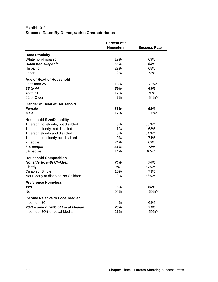#### **Exhibit 3-2 Success Rates By Demographic Characteristics**

|                                                                                       | <b>Percent of all</b><br><b>Households</b> | <b>Success Rate</b> |
|---------------------------------------------------------------------------------------|--------------------------------------------|---------------------|
|                                                                                       |                                            |                     |
| <b>Race Ethnicity</b>                                                                 |                                            |                     |
| White non-Hispanic                                                                    | 19%                                        | 69%                 |
| <b>Black non-Hispanic</b>                                                             | 56%                                        | 68%                 |
| Hispanic                                                                              | 22%                                        | 68%                 |
| Other                                                                                 | 2%                                         | 73%                 |
| Age of Head of Household                                                              |                                            |                     |
| Less than 25                                                                          | 18%                                        | 73%*                |
| 25 to 44                                                                              | 59%                                        | 68%                 |
| 45 to 61                                                                              | 17%                                        | 70%                 |
| 62 or Older                                                                           | 7%                                         | 54%**               |
| Gender of Head of Household                                                           |                                            |                     |
| <b>Female</b>                                                                         | 83%                                        | 69%                 |
| Male                                                                                  | 17%                                        | 64%*                |
| <b>Household Size/Disability</b>                                                      |                                            |                     |
| 1 person not elderly, not disabled                                                    | 8%                                         | 56%**               |
| 1 person elderly, not disabled                                                        | 1%                                         | 63%                 |
| 1 person elderly and disabled                                                         | 3%                                         | 54%**               |
| 1 person not elderly but disabled                                                     | 9%                                         | 74%                 |
| 2 people                                                                              | 24%                                        | 69%                 |
| 3-4 people                                                                            | 41%                                        | 72%                 |
| 5+ people                                                                             | 14%                                        | 67%*                |
| <b>Household Composition</b>                                                          |                                            |                     |
| Not elderly, with Children                                                            | 74%                                        | 70%                 |
| Elderly                                                                               | $7\%$ <sup>1</sup>                         | 54%**               |
| Disabled, Single                                                                      | 10%                                        | 73%                 |
| Not Elderly or disabled No Children                                                   | 9%                                         | 56%**               |
| <b>Preference Homeless</b>                                                            |                                            |                     |
| Yes                                                                                   | 6%                                         | 60%                 |
| No                                                                                    | 94%                                        | 69%**               |
| <b>Income Relative to Local Median</b>                                                |                                            |                     |
| $lncome = $0$                                                                         | 4%                                         | 63%                 |
| \$0 <income <="30%" local="" median<="" of="" td=""><td>75%</td><td>71%</td></income> | 75%                                        | 71%                 |
| Income > 30% of Local Median                                                          | 21%                                        | 59%**               |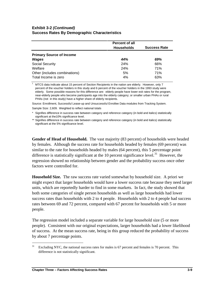#### **Exhibit 3-2** *(Continued)* **Success Rates By Demographic Characteristics**

|                                 | <b>Percent of all</b> |                     |
|---------------------------------|-----------------------|---------------------|
|                                 | <b>Households</b>     | <b>Success Rate</b> |
| <b>Primary Source of Income</b> |                       |                     |
| Wages                           | 44%                   | 69%                 |
| Social Security                 | 24%                   | 66%                 |
| Welfare                         | <b>24%</b>            | 71%                 |
| Other (includes combinations)   | 5%                    | 71%                 |
| Total Income is zero            | 4%                    | 63%                 |

 percent of the voucher holders in this study and 6 percent of the voucher holders in the 1993 study were elderly. Some possible reasons for this difference are: elderly people have lower exit rates for the program, <sup>1</sup> MTCS data indicate about 15 percent of Section Recipients in the nation are elderly. However, only 7 near-elderly people who become participants age into the elderly category; or smaller urban PHAs or rural PHAs (not in this study) have a higher share of elderly recipients.

 Sample Size: 2,609. Weighted to reflect national totals Source: Enrollment, Successful Lease-up and Unsuccessful Enrollee Data modules from Tracking System.

Signifies difference in success rate between category and reference category (in bold and italics) statistically significant at the10% significance level.

\*\* Signifies difference in success rate between category and reference category (in bold and italics) statistically significant at the 5% significance level.

**Gender of Head of Household.** The vast majority (83 percent) of households were headed by females. Although the success rate for households headed by females (69 percent) was similar to the rate for households headed by males (64 percent), this 5 percentage point difference is statistically significant at the 10 percent significance level.<sup>31</sup> However, the regression showed no relationship between gender and the probability success once other factors were controlled for.

 **Household Size.** The raw success rate varied somewhat by household size. A priori we might expect that larger households would have a lower success rate because they need larger units, which are reportedly harder to find in some markets. In fact, the study showed that both some categories of single person households as well as large households had lower success rates than households with 2 to 4 people. Households with 2 to 4 people had success rates between 69 and 72 percent, compared with 67 percent for households with 5 or more people.

The regression model included a separate variable for large household size (5 or more people). Consistent with our original expectations, larger households had a lower likelihood of success. At the mean success rate, being in this group reduced the probability of success by about 7 percentage points.

 $31$ Excluding NYC, the national success rates for males is 67 percent and females is 70 percent. This difference is not statistically significant.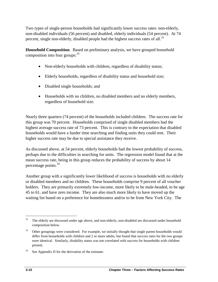Two types of single-person households had significantly lower success rates: non-elderly, non-disabled individuals (56 percent) and disabled, elderly individuals (54 percent). At 74 percent, single non-elderly, disabled people had the highest success rates of all. $^{32}$ 

**Household Composition**. Based on preliminary analysis, we have grouped household composition into four groups:  $33$ 

- Non-elderly households with children, regardless of disability status;
- Elderly households, regardless of disability status and household size;
- Disabled single households; and
- Households with no children, no disabled members and no elderly members, regardless of household size.

Nearly three quarters (74 percent) of the households included children. The success rate for this group was 70 percent. Households comprised of single disabled members had the highest average success rate of 73 percent. This is contrary to the expectation that disabled households would have a harder time searching and finding units they could rent. Their higher success rate may be due to special assistance they receive.

As discussed above, at 54 percent, elderly households had the lowest probability of success, perhaps due to the difficulties in searching for units. The regression model found that at the mean success rate, being in this group reduces the probability of success by about 14 percentage points.<sup>34</sup>

Another group with a significantly lower likelihood of success is households with no elderly or disabled members and no children. These households comprise 9 percent of all voucher holders. They are primarily extremely low-income, more likely to be male-headed, to be age 45 to 61, and have zero income. They are also much more likely to have moved up the waiting list based on a preference for homelessness and/or to be from New York City. The

 $\overline{a}$ <sup>32</sup> The elderly are discussed under age above, and non-elderly, non-disabled are discussed under household composition below.

<sup>&</sup>lt;sup>33</sup> Other groupings were considered. For example, we initially thought that single parent households would were identical. Similarly, disability status was not correlated with success for households with children differ from households with children and 2 or more adults, but found that success rates for the two groups present.

 $34$  See Appendix D for the derivation of the estimate.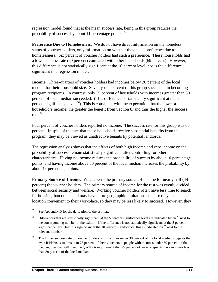regression model found that at the mean success rate, being in this group reduces the probability of success by about 11 percentage points.  $35$ 

**Preference Due to Homelessness.** We do not have direct information on the homeless status of voucher holders, only information on whether they had a preference due to homelessness. Six percent of voucher holders had such a preference. These households had a lower success rate (60 percent) compared with other households (69 percent). However, this difference is not statistically significant at the 10 percent level, nor is the difference significant in a regression model.

**Income.** Three-quarters of voucher holders had incomes below 30 percent of the local median for their household size. Seventy-one percent of this group succeeded in becoming program recipients. In contrast, only 59 percent of households with incomes greater than 30 percent of local median succeeded. (This difference is statistically significant at the 5 percent significance level.<sup>36</sup>) This is consistent with the expectation that the lower a household's income, the greater the benefit from Section 8, and thus the higher the success rate. $37$ 

Four percent of voucher holders reported no income. The success rate for this group was 63 percent. In spite of the fact that these households receive substantial benefits from the program, they may be viewed as unattractive tenants by potential landlords.

The regression analysis shows that the effects of both high income and zero income on the probability of success remain statistically significant after controlling for other characteristics. Having no income reduces the probability of success by about 10 percentage points, and having income above 30 percent of the local median increases the probability by about 14 percentage points.

**Primary Source of Income.** Wages were the primary source of income for nearly half (44 percent) the voucher holders. The primary source of income for the rest was evenly divided between social security and welfare. Working voucher holders often have less time to search for housing than others and may have more geographic limitations because they need a location convenient to their workplace, so they may be less likely to succeed. However, they

 $\overline{a}$  $35$  See Appendix D for the derivation of the estimate.

 $36$  Differences that are statistically significant at the 5 percent significance level are indicated by an  $*$  next to the corresponding number in the exhibit. If the difference is not statistically significant at the 5 percent significance level, but it is significant at the 10 percent significance, this is indicated by \*\* next to the relevant number.

<sup>&</sup>lt;sup>37</sup> The higher success rate of voucher holders with incomes under 30 percent of the local median suggests that even if PHAs issue less than 75 percent of their vouchers to people with incomes under 30 percent of the median, they can still meet the QWHRA requirement that 75 percent of new recipients have incomes less than 30 percent of the local median.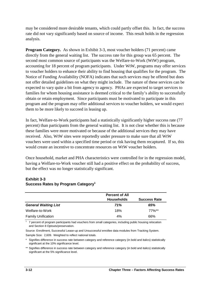may be considered more desirable tenants, which could partly offset this. In fact, the success rate did not vary significantly based on source of income. This result holds in the regression analysis.

 expected to vary quite a bit from agency to agency. PHAs are expected to target services to **Program Category.** As shown in Exhibit 3-3, most voucher holders (71 percent) came directly from the general waiting list. The success rate for this group was 65 percent. The second most common source of participants was the Welfare-to-Work (WtW) program, accounting for 18 percent of program participants. Under WtW, programs may offer services to voucher holders to enhance their ability to find housing that qualifies for the program. The Notice of Funding Availability (NOFA) indicates that such services may be offered but does not offer detailed guidelines on what they might include. The nature of these services can be families for whom housing assistance is deemed critical to the family's ability to successfully obtain or retain employment. Since participants must be motivated to participate in this program and the program may offer additional services to voucher holders, we would expect them to be more likely to succeed in leasing up.

In fact, Welfare-to-Work participants had a statistically significantly higher success rate (77 percent) than participants from the general waiting list. It is not clear whether this is because these families were more motivated or because of the additional services they may have received. Also, WtW sites were reportedly under pressure to make sure that all WtW vouchers were used within a specified time period or risk having them recaptured. If so, this would create an incentive to concentrate resources on WtW voucher holders.

Once household, market and PHA characteristics were controlled for in the regression model, having a Welfare-to-Work voucher still had a positive effect on the probability of success, but the effect was no longer statistically significant.

#### **Exhibit 3-3 Success Rates by Program Category1**

|                             | <b>Percent of All</b> |                     |
|-----------------------------|-----------------------|---------------------|
|                             | <b>Households</b>     | <b>Success Rate</b> |
| <b>General Waiting List</b> | 71%                   | 65%                 |
| Welfare-to-Work             | 18%                   | $77\%**$            |
| <b>Family Unification</b>   | 4%                    | 66%                 |

 $1$  7 percent of program participants had vouchers from small categories, including public housing relocation and Section 8 Optouts/preservation.

Source: Enrollment, Successful Lease-up and Unsuccessful enrollee data modules from Tracking System.

Sample Size: 2,609. Weighted to reflect national totals.

\* Signifies difference in success rate between category and reference category (in bold and italics) statistically significant at the 10% significance level.

\*\* Signifies difference in success rate between category and reference category (in bold and italics) statistically significant at the 5% significance level.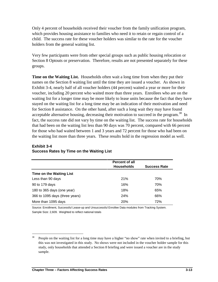Only 4 percent of households received their voucher from the family unification program, which provides housing assistance to families who need it to retain or regain control of a child. The success rate for these voucher holders was similar to the rate for the voucher holders from the general waiting list.

Very few participants were from other special groups such as public housing relocation or Section 8 Optouts or preservation. Therefore, results are not presented separately for these groups.

**Time on the Waiting List.** Households often wait a long time from when they put their names on the Section 8 waiting list until the time they are issued a voucher. As shown in Exhibit 3-4, nearly half of all voucher holders (44 percent) waited a year or more for their voucher, including 20 percent who waited more than three years. Enrollees who are on the waiting list for a longer time may be more likely to lease units because the fact that they have stayed on the waiting list for a long time may be an indication of their motivation and need for Section 8 assistance. On the other hand, after such a long wait they may have found acceptable alternative housing, decreasing their motivation to succeed in the program.<sup>38</sup> In fact, the success rate did not vary by time on the waiting list. The success rate for households that had been on the waiting list less than 90 days was 70 percent, compared with 66 percent for those who had waited between 1 and 3 years and 72 percent for those who had been on the waiting list more than three years. These results hold in the regression model as well.

|                                 | <b>Percent of all</b> |                     |
|---------------------------------|-----------------------|---------------------|
|                                 | <b>Households</b>     | <b>Success Rate</b> |
| <b>Time on the Waiting List</b> |                       |                     |
| Less than 90 days               | 21%                   | 70%                 |
| 90 to 179 days                  | 16%                   | 70%                 |
| 180 to 365 days (one year)      | 18%                   | 65%                 |
| 366 to 1095 days (three years)  | 24%                   | 66%                 |
| More than 1095 days             | <b>20%</b>            | 72%                 |

#### **Exhibit 3-4 Success Rates by Time on the Waiting List**

 Sample Size: 2,609. Weighted to reflect national totals Source: Enrollment, Successful Lease-up and Unsuccessful Enrollee Data modules from Tracking System.

<sup>38</sup> People on the waiting list for a long time may have a higher "no show" rate when invited to a briefing, but this was not investigated in this study. No shows were not included in the voucher holder sample for this study, only households that attended a Section 8 briefing and were issued a voucher are in the study sample.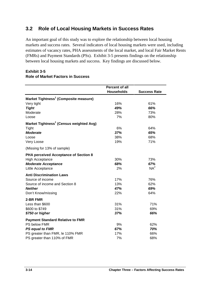### **3.2 Role of Local Housing Markets in Success Rates**

An important goal of this study was to explore the relationship between local housing markets and success rates. Several indicators of local housing markets were used, including estimates of vacancy rates, PHA assessments of the local market, and local Fair Market Rents (FMRs) and Payment Standards (PSs). Exhibit 3-5 presents findings on the relationship between local housing markets and success. Key findings are discussed below.

#### **Exhibit 3-5 Role of Market Factors in Success**

|                                                     | <b>Percent of all</b> |                     |
|-----------------------------------------------------|-----------------------|---------------------|
|                                                     | <b>Households</b>     | <b>Success Rate</b> |
| Market Tightness <sup>1</sup> (Composite measure)   |                       |                     |
| Very tight                                          | 16%                   | 61%                 |
| <b>Tight</b>                                        | 49%                   | 66%                 |
| Moderate                                            | 28%                   | 73%                 |
| Loose                                               | 7%                    | 80%                 |
| Market Tightness <sup>1</sup> (Census weighted Avg) |                       |                     |
| Tight                                               | 6%                    | 64%                 |
| <b>Moderate</b>                                     | 37%                   | 65%                 |
| Loose                                               | 38%                   | 68%                 |
| Very Loose                                          | 19%                   | 71%                 |
| (Missing for 13% of sample)                         |                       |                     |
| PHA perceived Acceptance of Section 8               |                       |                     |
| <b>High Acceptance</b>                              | 30%                   | 73%                 |
| <b>Moderate Acceptance</b>                          | 68%                   | 67%                 |
| Little Acceptance                                   | 2%                    | NA <sup>2</sup>     |
| <b>Anti Discrimination Laws</b>                     |                       |                     |
| Source of income                                    | 17%                   | 76%                 |
| Source of income and Section 8                      | 13%                   | 62%                 |
| <b>Neither</b>                                      | 47%                   | 69%                 |
| Don't Know/missing                                  | 22%                   | 64%                 |
| 2-BR FMR                                            |                       |                     |
| Less than \$600                                     | 31%                   | 71%                 |
| \$600 to \$749                                      | 31%                   | 69%                 |
| \$750 or higher                                     | 37%                   | 66%                 |
| <b>Payment Standard Relative to FMR</b>             |                       |                     |
| PS below FMR                                        | 9%                    | 62%                 |
| <b>PS equal to FMR</b>                              | 67%                   | 70%                 |
| PS greater than FMR, le 110% FMR                    | 17%                   | 66%                 |
| PS greater than 110% of FMR                         | 7%                    | 68%                 |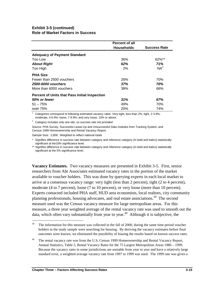|                                                      | <b>Percent of all</b> |                     |
|------------------------------------------------------|-----------------------|---------------------|
|                                                      | <b>Households</b>     | <b>Success Rate</b> |
| <b>Adequacy of Payment Standard</b>                  |                       |                     |
| Too Low                                              | 36%                   | 62%**               |
| <b>About Right</b>                                   | 62%                   | 71%                 |
| Too High                                             | 2%                    | NA <sup>2</sup>     |
| <b>PHA Size</b>                                      |                       |                     |
| Fewer than 2500 vouchers                             | 26%                   | 70%                 |
| 2500-6000 vouchers                                   | 37%                   | 70%                 |
| More than 6000 vouchers                              | 38%                   | 66%                 |
| <b>Percent of Units that Pass Initial Inspection</b> |                       |                     |
| 50% or fewer                                         | 31%                   | 67%                 |
| $51 - 75%$                                           | 49%                   | 70%                 |
| over 75%                                             | 20%                   | 74%                 |

 $1$  Categories correspond to following estimated vacancy rates: Very tight, less than 2%; tight, 2-3.9%; moderate, 4-6.9%; loose, 7-9.9%; and very loose, 10% or above.

 $2^2$  Category includes only one site, so success rate not provided

Source: PHA Survey, Successful Lease-Up and Unsuccessful Data modules from Tracking System, and Census 1999 Homeownership and Rental Vacancy Report.

Sample Size: 2,609. Weighted to reflect national totals

Signifies difference in success rate between category and reference category (in bold and italics) statistically significant at the10% significance level.

\*\* Signifies difference in success rate between category and reference category (in bold and italics) statistically significant at the 5% significance level.

**Vacancy Estimates.** Two vacancy measures are presented in Exhibit 3-5. First, senior researchers from Abt Associates estimated vacancy rates in the portion of the market available to voucher holders. This was done by querying experts in each local market to arrive at a consensus vacancy range: very tight (less than 2 percent), tight (2 to 4 percent), moderate (4 to 7 percent), loose (7 to 10 percent), or very loose (more than 10 percent). Experts contacted included PHA staff, HUD area economists, local realtors, city community planning professionals, housing advocates, and real estate associations.<sup>39</sup> The second measure used was the Census vacancy measure for large metropolitan areas. For this measure, a three year weighted average of the rental vacancy rate was used to smooth out the data, which often vary substantially from year to year.<sup>40</sup> Although it is subjective, the

<sup>&</sup>lt;sup>39</sup> The information for this measure was collected in the fall of 2000, during the same time period voucher holders in the study sample were searching for housing. By deriving the vacancy estimates before final outcomes were known, we eliminated the possibility of biasing the results based on known success rates.

<sup>&</sup>lt;sup>40</sup> The rental vacancy rate was from the U.S. Census 1999 Homeownership and Rental Vacancy Report, Annual Statistics, Table 5, Rental Vacancy Rates for the 75 Largest Metropolitan Areas 1986 – 1999. Because the vacancy rates in some jurisdictions are unstable from year to year and have a relatively large standard error, a weighted average vacancy rate from 1997 to 1999 was used. The 1999 rate was given a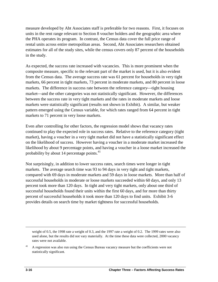measure developed by Abt Associates staff is preferable for two reasons. First, it focuses on units in the rent range relevant to Section 8 voucher holders and the geographic area where the PHA operates its program. In contrast, the Census data cover the full price range of rental units across entire metropolitan areas. Second, Abt Associates researchers obtained estimates for all of the study sites, while the census covers only 87 percent of the households in the study.

As expected, the success rate increased with vacancies. This is more prominent when the composite measure, specific to the relevant part of the market is used, but it is also evident from the Census data. The average success rate was 61 percent for households in very tight markets, 66 percent in tight markets, 73 percent in moderate markets, and 80 percent in loose markets. The difference in success rate between the reference category—tight housing market—and the other categories was not statistically significant. However, the differences between the success rate in very tight markets and the rates in moderate markets and loose markets were statistically significant (results not shown in Exhibit). A similar, but weaker pattern emerged using the Census variable, for which rates ranged from 64 percent in tight markets to 71 percent in very loose markets.

Even after controlling for other factors, the regression model shows that vacancy rates continued to play the expected role in success rates. Relative to the reference category (tight market), having a voucher in a very tight market did not have a statistically significant effect on the likelihood of success. However having a voucher in a moderate market increased the likelihood by about 9 percentage points, and having a voucher in a loose market increased the probability by about 14 percentage points. $41$ 

Not surprisingly, in addition to lower success rates, search times were longer in tight markets. The average search time was 93 to 94 days in very tight and tight markets, compared with 69 days in moderate markets and 59 days in loose markets. More than half of successful households in moderate or loose markets succeeded within 60 days, and only 13 percent took more than 120 days. In tight and very tight markets, only about one third of successful households found their units within the first 60 days, and for more than thirty percent of successful households it took more than 120 days to find units. Exhibit 3-6 provides details on search time by market tightness for successful households.

weight of 0.5, the 1998 rate a weight of 0.3, and the 1997 rate a weight of 0.2. The 1999 rates were also used alone, but the results did not vary materially. At the time these data were collected, 2000 vacancy rates were not available.

<sup>&</sup>lt;sup>41</sup> A regression was also run using the Census Bureau vacancy measure but the coefficients were not statistically significant.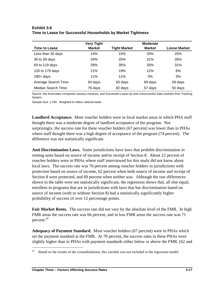## **Time to Lease for Successful Households by Market Tightness**  Very Tight **Moderate Time to Lease Tight Market Hoose Market Loose Market Loose Market Loose Market Loose Market** Less than 30 days 14% 15% 20% 25%

30 to 59 days 26% 20% 31% 35% 60 to 119 days 28% 35% 35% 31% 120 to 179 days 21% 19% 12% 6% 180+ days 3% 11% 11% 11% 3% 3% Average Search Time 94 days 93 days 69 days 59 days

Median Search Time  $\begin{array}{ccc} 76 \text{ days} & \text{82 days} & \text{57 days} \end{array}$  50 days Source: Abt Associates composite vacancy measure, and Successful Lease-Up and Unsuccessful Data modules from Tracking System.

Sample Size: 1,780. Weighted to reflect national totals

**Exhibit 3-6** 

**Landlord Acceptance.** Most voucher holders were in local market areas in which PHA staff thought there was a moderate degree of landlord acceptance of the program. Not surprisingly, the success rate for these voucher holders (67 percent) was lower than in PHAs where staff thought there was a high degree of acceptance of the program (74 percent). The difference was not statistically significant.

**Anti Discrimination Laws.** Some jurisdictions have laws that prohibit discrimination in renting units based on source of income and/or receipt of Section 8. About 22 percent of voucher holders were in PHAs where staff interviewed for this study did not know about local laws. The success rate was 76 percent among voucher holders in jurisdictions with protection based on source of income, 62 percent when both source of income and receipt of Section 8 were protected, and 69 percent when neither was. Although the raw differences shown in the table were not statistically significant, the regression shows that, all else equal, enrollees in programs that are in jurisdictions with laws that bar discrimination based on source of income (with or without Section 8) had a statistically significantly higher probability of success of over 12 percentage points.

**Fair Market Rents.** The success rate did not vary by the absolute level of the FMR. In high FMR areas the success rate was 66 percent, and in low FMR areas the success rate was 71 percent.<sup>42</sup>

**Adequacy of Payment Standard.** Most voucher holders (67 percent) were in PHAs which set the payment standard at the FMR. At 70 percent, the success rates in these PHAs were slightly higher than in PHAs with payment standards either below or above the FMR, (62 and

 $42$  Based on the results of the crosstabulations, this variable was not included in the regression model.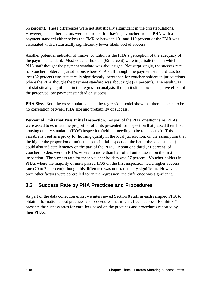66 percent). These differences were not statistically significant in the crosstabulations. However, once other factors were controlled for, having a voucher from a PHA with a payment standard either below the FMR or between 101 and 110 percent of the FMR was associated with a statistically significantly lower likelihood of success.

Another potential indicator of market condition is the PHA's perception of the adequacy of the payment standard. Most voucher holders (62 percent) were in jurisdictions in which PHA staff thought the payment standard was about right. Not surprisingly, the success rate for voucher holders in jurisdictions where PHA staff thought the payment standard was too low (62 percent) was statistically significantly lower than for voucher holders in jurisdictions where the PHA thought the payment standard was about right (71 percent). The result was not statistically significant in the regression analysis, though it still shows a negative effect of the perceived low payment standard on success.

**PHA Size.** Both the crosstabulations and the regression model show that there appears to be no correlation between PHA size and probability of success.

**Percent of Units that Pass Initial Inspection.** As part of the PHA questionnaire, PHAs were asked to estimate the proportion of units presented for inspection that passed their first housing quality standards (HQS) inspection (without needing to be reinspected). This variable is used as a proxy for housing quality in the local jurisdiction, on the assumption that the higher the proportion of units that pass initial inspection, the better the local stock. (It could also indicate leniency on the part of the PHA.) About one third (31 percent) of voucher holders were in PHAs where no more than half of all units passed on the first inspection. The success rate for these voucher holders was 67 percent. Voucher holders in PHAs where the majority of units passed HQS on the first inspection had a higher success rate (70 to 74 percent), though this difference was not statistically significant. However, once other factors were controlled for in the regression, the difference was significant.

## **3.3 Success Rate by PHA Practices and Procedures**

As part of the data collection effort we interviewed Section 8 staff in each sampled PHA to obtain information about practices and procedures that might affect success. Exhibit 3-7 presents the success rates for enrollees based on the practices and procedures reported by their PHAs.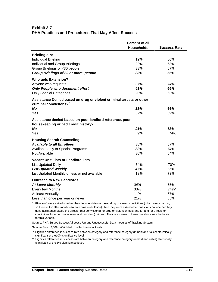#### **PHA Practices and Procedures That May Affect Success Exhibit 3-7**

|                                                                                                 | Percent of all    |                     |
|-------------------------------------------------------------------------------------------------|-------------------|---------------------|
|                                                                                                 | <b>Households</b> | <b>Success Rate</b> |
| <b>Briefing size</b>                                                                            |                   |                     |
| <b>Individual Briefing</b>                                                                      | 12%               | 80%                 |
| Individual and Group Briefings                                                                  | 22%               | 68%                 |
| Group Briefings of <30 people                                                                   | 33%               | 67%                 |
| Group Briefings of 30 or more people                                                            | 33%               | 66%                 |
| <b>Who gets Extension?</b>                                                                      |                   |                     |
| Anyone who requests                                                                             | 37%               | 74%                 |
| Only People who document effort                                                                 | 43%               | 66%                 |
| <b>Only Special Categories</b>                                                                  | 20%               | 63%                 |
| Assistance Denied based on drug or violent criminal arrests or other                            |                   |                     |
| criminal convictions? <sup>1</sup>                                                              |                   |                     |
| <b>No</b>                                                                                       | 18%               | 66%                 |
| Yes                                                                                             | 82%               | 69%                 |
| Assistance denied based on poor landlord reference, poor<br>housekeeping or bad credit history? |                   |                     |
| <b>No</b>                                                                                       | 91%               | 68%                 |
| Yes                                                                                             | 9%                | 74%                 |
| <b>Housing Search Counseling</b>                                                                |                   |                     |
| <b>Available to all Enrollees</b>                                                               | 38%               | 67%                 |
| Available only to Special Programs                                                              | 32%               | 74%                 |
| Not Available                                                                                   | 30%               | 64%                 |
| <b>Vacant Unit Lists or Landlord lists</b>                                                      |                   |                     |
| <b>List Updated Daily</b>                                                                       | 34%               | 70%                 |
| <b>List Updated Weekly</b>                                                                      | 47%               | 65%                 |
| List Updated Monthly or less or not available                                                   | 18%               | 73%                 |
| <b>Outreach to New Landlords</b>                                                                |                   |                     |
| <b>At Least Monthly</b>                                                                         | 34%               | 66%                 |
| Every few Months                                                                                | 33%               | 74%*                |
| At least Annually                                                                               | 11%               | 67%                 |
| Less than once per year or never                                                                | 21%               | 65%                 |

 convictions for other (non-violent and non-drug) crimes. Their responses to these questions was the basis  $1$  PHA staff were asked whether they deny assistance based drug or violent convictions (which almost all do, so there is too little variation to do a cross-tabulation), then they were asked other questions on whether they deny assistance based on: arrests (not convictions) for drug or violent crimes; and for and for arrests or for this variable.

Source: PHA Survey Successful Lease-Up and Unsuccessful Data modules of Tracking System.

Sample Size: 2,609. Weighted to reflect national totals

 <sup>\*</sup> Signifies difference in success rate between category and reference category (in bold and italics) statistically significant at the10% significance level.

<sup>\*\*</sup> Signifies difference in success rate between category and reference category (in bold and italics) statistically significant at the 5% significance level.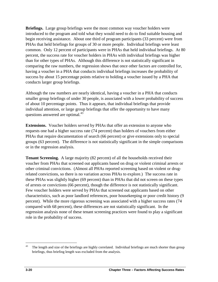**Briefings.** Large group briefings were the most common way voucher holders were introduced to the program and told what they would need to do to find suitable housing and begin receiving assistance. About one third of program participants (33 percent) were from PHAs that held briefings for groups of 30 or more people. Individual briefings were least common. Only 12 percent of participants were in PHAs that held individual briefings. At 80 percent, the success rate for voucher holders in PHAs with individual briefings was higher than for other types of PHAs. Although this difference is not statistically significant in comparing the raw numbers, the regression shows that once other factors are controlled for, having a voucher in a PHA that conducts individual briefings increases the probability of success by about 15 percentage points relative to holding a voucher issued by a PHA that conducts larger group briefings.

Although the raw numbers are nearly identical, having a voucher in a PHA that conducts smaller group briefings of under 30 people, is associated with a lower probability of success of about 10 percentage points. Thus it appears, that individual briefings that provide individual attention, or large group briefings that offer the opportunity to have many questions answered are optimal.<sup>43</sup>

**Extensions.** Voucher holders served by PHAs that offer an extension to anyone who requests one had a higher success rate (74 percent) than holders of vouchers from either PHAs that require documentation of search (66 percent) or give extensions only to special groups (63 percent). The difference is not statistically significant in the simple comparisons or in the regression analysis.

 compared with 68 percent), these differences are not statistically significant. In the **Tenant Screening.** A large majority (82 percent) of all the households received their voucher from PHAs that screened out applicants based on drug or violent criminal arrests or other criminal convictions. (Almost all PHAs reported screening based on violent or drugrelated convictions, so there is no variation across PHAs to explore.) The success rate in these PHAs was slightly higher (69 percent) than in PHAs that did not screen on these types of arrests or convictions (66 percent), though the difference is not statistically significant. Few voucher holders were served by PHAs that screened out applicants based on other characteristics, such as poor landlord references, poor housekeeping or poor credit history (9 percent). While the more rigorous screening was associated with a higher success rates (74 regression analysis none of these tenant screening practices were found to play a significant role in the probability of success.

 $43$ The length and size of the briefings are highly correlated. Individual briefings are much shorter than group briefings, thus briefing length was excluded from the analysis.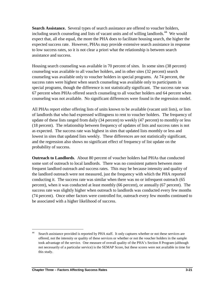**Search Assistance.** Several types of search assistance are offered to voucher holders, including search counseling and lists of vacant units and of willing landlords.<sup>44</sup> We would expect that, all else equal, the more the PHA does to facilitate housing search, the higher the expected success rate. However, PHAs may provide extensive search assistance in response to low success rates, so it is not clear a priori what the relationship is between search assistance and success.

 Housing search counseling was available in 70 percent of sites. In some sites (38 percent) counseling was available to all voucher holders, and in other sites (32 percent) search counseling was available only to voucher holders in special programs. At 74 percent, the success rates were highest when search counseling was available only to participants in special programs, though the difference is not statistically significant. The success rate was 67 percent when PHAs offered search counseling to all voucher holders and 64 percent when counseling was not available. No significant differences were found in the regression model.

All PHAs report either offering lists of units known to be available (vacant unit lists), or lists of landlords that who had expressed willingness to rent to voucher holders. The frequency of update of these lists ranged from daily (34 percent) to weekly (47 percent) to monthly or less (18 percent). The relationship between frequency of updates of lists and success rates is not as expected. The success rate was highest in sites that updated lists monthly or less and lowest in sites that updated lists weekly. These differences are not statistically significant, and the regression also shows no significant effect of frequency of list update on the probability of success.

**Outreach to Landlords**. About 80 percent of voucher holders had PHAs that conducted some sort of outreach to local landlords. There was no consistent pattern between more frequent landlord outreach and success rates. This may be because intensity and quality of the landlord outreach were not measured, just the frequency with which the PHA reported conducting it. The success rate was similar when there was no or infrequent outreach (65 percent), when it was conducted at least monthly (66 percent), or annually (67 percent). The success rate was slightly higher when outreach to landlords was conducted every few months (74 percent). Once other factors were controlled for, outreach every few months continued to be associated with a higher likelihood of success.

<sup>44</sup> Search assistance provided is reported by PHA staff. It only captures whether or not these services are offered, not the intensity or quality of these services or whether or not the voucher holders in the sample took advantage of the service. One measure of overall quality of the PHA's Section 8 Program (although not necessarily of a particular service) is the SEMAP Score, but these scores were not available in time for this study.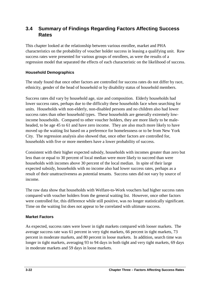## **3.4 Summary of Findings Regarding Factors Affecting Success Rates**

This chapter looked at the relationship between various enrollee, market and PHA characteristics on the probability of voucher holder success in leasing a qualifying unit. Raw success rates were presented for various groups of enrollees, as were the results of a regression model that separated the effects of each characteristic on the likelihood of success.

#### **Household Demographics**

The study found that once other factors are controlled for success rates do not differ by race, ethnicity, gender of the head of household or by disability status of household members.

Success rates did vary by household age, size and composition. Elderly households had lower success rates, perhaps due to the difficulty these households face when searching for units. Households with non-elderly, non-disabled persons and no children also had lower success rates than other household types. These households are generally extremely lowincome households. Compared to other voucher holders, they are more likely to be maleheaded, to be age 45 to 61 and have zero income. They are also much more likely to have moved up the waiting list based on a preference for homelessness or to be from New York City. The regression analysis also showed that, once other factors are controlled for, households with five or more members have a lower probability of success.

Consistent with their higher expected subsidy, households with incomes greater than zero but less than or equal to 30 percent of local median were more likely to succeed than were households with incomes above 30 percent of the local median. In spite of their large expected subsidy, households with no income also had lower success rates, perhaps as a result of their unattractiveness as potential tenants. Success rates did not vary by source of income.

The raw data show that households with Welfare-to-Work vouchers had higher success rates compared with voucher holders from the general waiting list. However, once other factors were controlled for, this difference while still positive, was no longer statistically significant. Time on the waiting list does not appear to be correlated with ultimate success.

#### **Market Factors**

 percent in moderate markets, and 80 percent in loose markets. In addition, search time was As expected, success rates were lower in tight markets compared with looser markets. The average success rate was 61 percent in very tight markets, 66 percent in tight markets, 73 longer in tight markets, averaging 93 to 94 days in both tight and very tight markets, 69 days in moderate markets and 59 days in loose markets.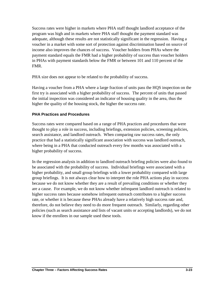Success rates were higher in markets where PHA staff thought landlord acceptance of the program was high and in markets where PHA staff thought the payment standard was adequate, although these results are not statistically significant in the regression. Having a voucher in a market with some sort of protection against discrimination based on source of income also improves the chances of success. Voucher holders from PHAs where the payment standard equals the FMR had a higher probability of success than voucher holders in PHAs with payment standards below the FMR or between 101 and 110 percent of the FMR.

PHA size does not appear to be related to the probability of success.

Having a voucher from a PHA where a large fraction of units pass the HQS inspection on the first try is associated with a higher probability of success. The percent of units that passed the initial inspection was considered an indicator of housing quality in the area, thus the higher the quality of the housing stock, the higher the success rate.

#### **PHA Practices and Procedures**

Success rates were compared based on a range of PHA practices and procedures that were thought to play a role in success, including briefings, extension policies, screening policies, search assistance, and landlord outreach. When comparing raw success rates, the only practice that had a statistically significant association with success was landlord outreach, where being in a PHA that conducted outreach every few months was associated with a higher probability of success.

 be associated with the probability of success. Individual briefings were associated with a In the regression analysis in addition to landlord outreach briefing policies were also found to higher probability, and small group briefings with a lower probability compared with large group briefings. It is not always clear how to interpret the role PHA actions play in success because we do not know whether they are a result of prevailing conditions or whether they are a cause. For example, we do not know whether infrequent landlord outreach is related to higher success rates because somehow infrequent outreach contributes to a higher success rate, or whether it is because these PHAs already have a relatively high success rate and, therefore, do not believe they need to do more frequent outreach. Similarly, regarding other policies (such as search assistance and lists of vacant units or accepting landlords), we do not know if the enrollees in our sample used these tools.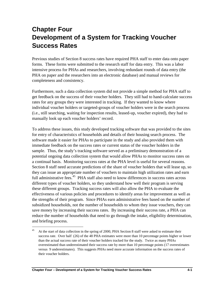## **Chapter Four Development of a System for Tracking Voucher Success Rates**

Previous studies of Section 8 success rates have required PHA staff to enter data onto paper forms. These forms were submitted to the research staff for data entry. This was a labor intensive process for PHAs and researchers, involving redundant rounds of data entry (the PHA on paper and the researchers into an electronic database) and manual reviews for completeness and consistency.

Furthermore, such a data collection system did not provide a simple method for PHA staff to get feedback on the success of their voucher holders. They still had to hand-calculate success rates for any groups they were interested in tracking. If they wanted to know where individual voucher holders or targeted-groups of voucher holders were in the search process (i.e., still searching, waiting for inspection results, leased-up, voucher expired), they had to manually look up each voucher holders' record.

To address these issues, this study developed tracking software that was provided to the sites for entry of characteristics of households and details of their housing search process. The software made it easier for PHAs to participate in the study and also provided them with immediate feedback on the success rates or current status of the voucher holders in the sample. Thus, the study's tracking software served as a preliminary demonstration of a potential ongoing data collection system that would allow PHAs to monitor success rates on a continual basis. Monitoring success rates at the PHA level is useful for several reasons. Section 8 staff need accurate predictions of the share of voucher holders that will lease up, so they can issue an appropriate number of vouchers to maintain high utilization rates and earn full administrative fees.<sup>45</sup> PHA staff also need to know differences in success rates across different types of voucher holders, so they understand how well their program is serving these different groups. Tracking success rates will also allow the PHA to evaluate the effectiveness of various policies and procedures to identify areas for improvement as well as the strengths of their program. Since PHAs earn administrative fees based on the number of subsidized households, not the number of households to whom they issue vouchers, they can save money by increasing their success rates. By increasing their success rate, a PHA can reduce the number of households that need to go through the intake, eligibility determination, and briefing process.

<sup>&</sup>lt;sup>45</sup> At the start of data collection in the spring of 2000, PHA Section 8 staff were asked to estimate their success rate. Over half (26) of the 48 PHA estimates were more than 10 percentage points higher or lower than the actual success rate of their voucher holders tracked for the study. Twice as many PHAs overestimated than underestimated their success rate by more than 10 percentage points (17 overestimates versus 9 underestimates). This suggests PHAs need more accurate information on the success rates of their voucher holders.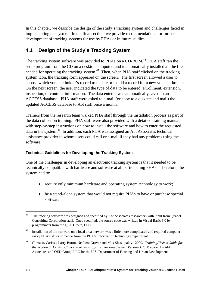In this chapter, we describe the design of the study's tracking system and challenges faced in implementing the system. In the final section, we provide recommendations for further development of tracking systems for use by PHAs or in future studies.

## **4.1 Design of the Study's Tracking System**

The tracking system software was provided to PHAs on a CD-ROM.<sup>46</sup> PHA staff ran the setup program from the CD on a desktop computer, and it automatically installed all the files needed for operating the tracking system.<sup>47</sup> Then, when PHA staff clicked on the tracking system icon, the tracking form appeared on the screen. The first screen allowed a user to choose which voucher holder's record to update or to add a record for a new voucher holder. On the next screen, the user indicated the type of data to be entered: enrollment, extension, inspection, or contract information. The data entered was automatically saved in an ACCESS database. PHA staff were asked to e-mail (or copy to a diskette and mail) the updated ACCESS database to Abt staff once a month.

data in the system.<sup>48</sup> In addition, each PHA was assigned an Abt Associates technical Trainers from the research team walked PHA staff through the installation process as part of the data collection training. PHA staff were also provided with a detailed training manual, with step-by-step instructions on how to install the software and how to enter the requested assistance provider to whom users could call or e-mail if they had any problems using the software.

#### **Technical Guidelines for Developing the Tracking System**

One of the challenges in developing an electronic tracking system is that it needed to be technically compatible with hardware and software at all participating PHAs. Therefore, the system had to:

- require only minimum hardware and operating system technology to work;
- be a stand-alone system that would not require PHAs to have or purchase special software;

 $\overline{a}$ <sup>46</sup> The tracking software was designed and specified by Abt Associates researchers with input from Quadel Consulting Corporation staff. Once specified, the source code was written in Visual Basic 6.0 by programmers from the QED Group, LLC.

<sup>&</sup>lt;sup>47</sup> Installation of the software on a local area network was a little more complicated and required computer savvy PHA staff or someone from the PHA's information technology department.

<sup>48</sup> Climaco, Carissa, Larry Buron, Neelima Grover and Max Shestopalov. 2000. *Training/User's Guide for the Section 8 Housing Choice Voucher Program Tracking System: Version 1.1.* Prepared by Abt Associates and QED Group, LLC for the U.S. Department of Housing and Urban Development*.*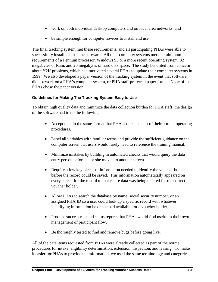- work on both individual desktop computers and on local area networks; and
- be simple enough for computer novices to install and use.

The final tracking system met these requirements, and all participating PHAs were able to successfully install and use the software. All their computer systems met the minimum requirements of a Pentium processor, Windows 95 or a more recent operating system, 32 megabytes of Ram, and 20 megabytes of hard disk space. The study benefited from concern about Y2K problems, which had motivated several PHAs to update their computer systems in 1999. We also developed a paper version of the tracking system in the event that software did not work on a PHA's computer system, or PHA staff preferred paper forms. None of the PHAs chose the paper version.

#### **Guidelines for Making The Tracking System Easy to Use**

To obtain high quality data and minimize the data collection burden for PHA staff, the design of the software had to do the following.

- Accept data in the same format that PHAs collect as part of their normal operating procedures.
- Label all variables with familiar terms and provide the sufficient guidance on the computer screen that users would rarely need to reference the training manual.
- Minimize mistakes by building in automated checks that would query the data entry person before he or she moved to another screen.
- Require a few key pieces of information needed to identify the voucher holder before the record could be saved. This information automatically appeared on every screen for the record to make sure data was being entered for the correct voucher holder.
- Allow PHAs to search the database by name, social security number, or an assigned PHA ID so a user could look up a specific record with whatever identifying information he or she had available for a voucher holder.
- Produce success rate and status reports that PHAs would find useful in their own management of participant flow.
- Be thoroughly tested to find and remove bugs before going live.

All of the data items requested from PHAs were already collected as part of the normal procedures for intake, eligibility determination, extension, inspection, and leasing. To make it easier for PHAs to provide the information, we used the same terminology and categories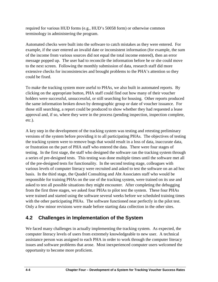required for various HUD forms (e.g., HUD's 50058 form) or otherwise common terminology in administering the program.

Automated checks were built into the software to catch mistakes as they were entered. For example, if the user entered an invalid date or inconsistent information (for example, the sum of the income from various sources did not equal the total income entered), then an error message popped up. The user had to reconcile the information before he or she could move to the next screen. Following the monthly submission of data, research staff did more extensive checks for inconsistencies and brought problems to the PHA's attention so they could be fixed.

To make the tracking system more useful to PHAs, we also built in automated reports. By clicking on the appropriate button, PHA staff could find out how many of their voucher holders were successful, unsuccessful, or still searching for housing. Other reports produced the same information broken down by demographic group or date of voucher issuance. For those still searching, a report could be produced to show whether they had requested a lease approval and, if so, where they were in the process (pending inspection, inspection complete, etc.).

 testing. In the first stage, the staff who designed the software ran the tracking system through A key step in the development of the tracking system was testing and retesting preliminary versions of the system before providing it to all participating PHAs. The objectives of testing the tracking system were to remove bugs that would result in a loss of data, inaccurate data, or frustration on the part of PHA staff who entered the data. There were four stages of a series of pre-designed tests. This testing was done multiple times until the software met all of the pre-designed tests for functionality. In the second testing stage, colleagues with various levels of computer literacy were recruited and asked to test the software on an ad hoc basis. In the third stage, the Quadel Consulting and Abt Associates staff who would be responsible for training PHAs on the use of the tracking system, were trained on its use and asked to test all possible situations they might encounter. After completing the debugging from the first three stages, we asked four PHAs to pilot test the system. These four PHAs were trained and started using the software several weeks before we scheduled training times with the other participating PHAs. The software functioned near perfectly in the pilot test. Only a few minor revisions were made before starting data collection in the other sites.

## **4.2 Challenges in Implementation of the System**

We faced many challenges in actually implementing the tracking system. As expected, the computer literacy levels of users from extremely knowledgeable to new user. A technical assistance person was assigned to each PHA in order to work through the computer literacy issues and software problems that arose. Most inexperienced computer users welcomed the opportunity to become more proficient.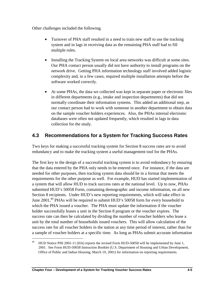Other challenges included the following.

- Turnover of PHA staff resulted in a need to train new staff to use the tracking system and in lags in receiving data as the remaining PHA staff had to fill multiple roles.
- Installing the Tracking System on local area networks was difficult at some sites. Our PHA contact person usually did not have authority to install programs on the network drive. Getting PHA information technology staff involved added logistic complexity and, in a few cases, required multiple installation attempts before the software worked correctly.
- At some PHAs, the data we collected was kept in separate paper or electronic files in different departments (e.g., intake and inspection departments) that did not normally coordinate their information systems. This added an additional step, as our contact person had to work with someone in another department to obtain data on the sample voucher holders experiences. Also, the PHAs internal electronic databases were often not updated frequently, which resulted in lags in data collection for the study.

## **4.3 Recommendations for a System for Tracking Success Rates**

Two keys for making a successful tracking system for Section 8 success rates are to avoid redundancy and to make the tracking system a useful management tool for the PHAs.

The first key to the design of a successful tracking system is to avoid redundancy by ensuring that the data entered by the PHA only needs to be entered once. For instance, if the data are needed for other purposes, then tracking system data should be in a format that meets the requirements for the other purpose as well. For example, HUD has started implementation of a system that will allow HUD to track success rates at the national level. Up to now, PHAs submitted HUD's 50058 Form, containing demographic and income information, on all new Section 8 recipients. Under HUD's new reporting requirements, which will take effect in June 2001,<sup>49</sup> PHAs will be required to submit HUD's 50058 form for every household to which the PHA issued a voucher. The PHA must update the information if the voucher holder successfully leases a unit in the Section 8 program or the voucher expires. The success rate can then be calculated by dividing the number of voucher holders who lease a unit by the total number of households issued vouchers. This will allow calculation of the success rate for all voucher holders in the nation at any time period of interest, rather than for a sample of voucher holders at a specific time. As long as PHAs submit accurate information

<sup>49</sup> HUD Notice PIH 2001-11 (HA) reports the revised Form HUD-50058 will be implemented by June 1, 2001. See Form HUD-50058 Instruction Booklet (U.S. Department of Housing and Urban Development, Office of Public and Indian Housing, March 19, 2001) for information on reporting requirements.